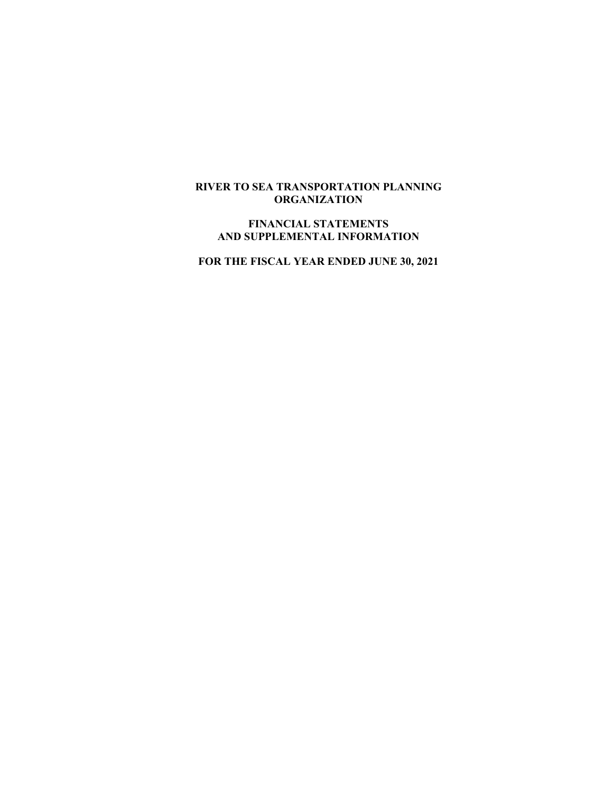## **RIVER TO SEA TRANSPORTATION PLANNING ORGANIZATION**

## **FINANCIAL STATEMENTS AND SUPPLEMENTAL INFORMATION**

**FOR THE FISCAL YEAR ENDED JUNE 30, 2021**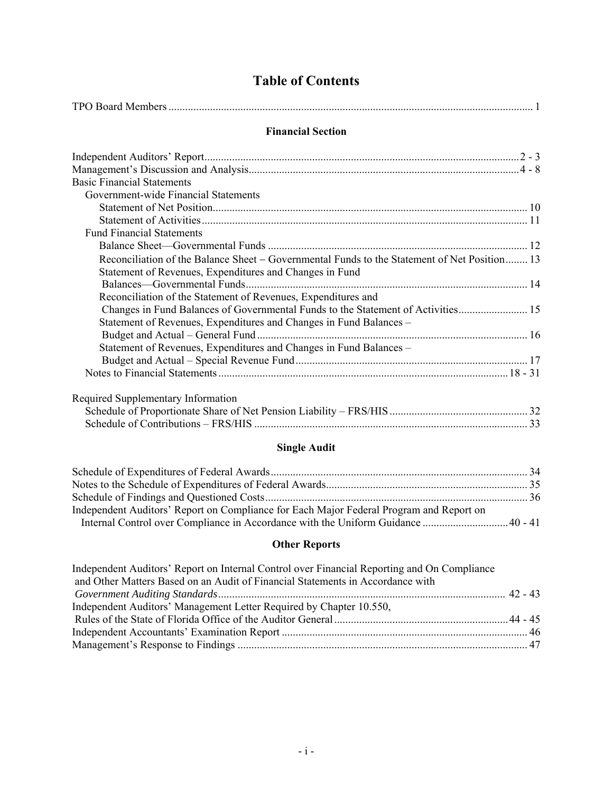# **Table of Contents**

## **Financial Section**

| <b>Basic Financial Statements</b>                                                            |
|----------------------------------------------------------------------------------------------|
| Government-wide Financial Statements                                                         |
|                                                                                              |
|                                                                                              |
| <b>Fund Financial Statements</b>                                                             |
|                                                                                              |
| Reconciliation of the Balance Sheet – Governmental Funds to the Statement of Net Position 13 |
| Statement of Revenues, Expenditures and Changes in Fund                                      |
|                                                                                              |
| Reconciliation of the Statement of Revenues, Expenditures and                                |
| Changes in Fund Balances of Governmental Funds to the Statement of Activities 15             |
| Statement of Revenues, Expenditures and Changes in Fund Balances –                           |
|                                                                                              |
| Statement of Revenues, Expenditures and Changes in Fund Balances -                           |
|                                                                                              |
|                                                                                              |
| Required Supplementary Information                                                           |
|                                                                                              |
|                                                                                              |
|                                                                                              |

# **Single Audit**

| Independent Auditors' Report on Compliance for Each Major Federal Program and Report on |  |
|-----------------------------------------------------------------------------------------|--|
| Internal Control over Compliance in Accordance with the Uniform Guidance  40 - 41       |  |

# **Other Reports**

| Independent Auditors' Report on Internal Control over Financial Reporting and On Compliance |  |
|---------------------------------------------------------------------------------------------|--|
| and Other Matters Based on an Audit of Financial Statements in Accordance with              |  |
|                                                                                             |  |
| Independent Auditors' Management Letter Required by Chapter 10.550,                         |  |
|                                                                                             |  |
|                                                                                             |  |
|                                                                                             |  |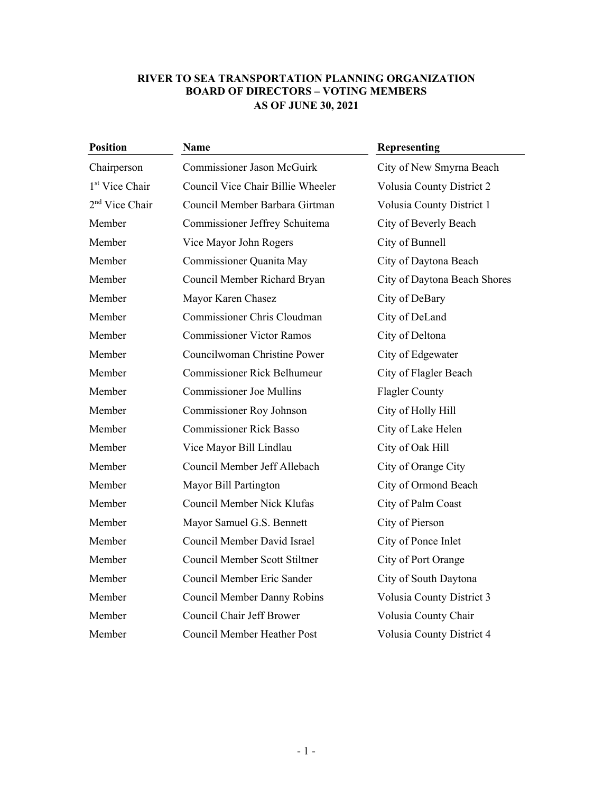## **RIVER TO SEA TRANSPORTATION PLANNING ORGANIZATION BOARD OF DIRECTORS – VOTING MEMBERS AS OF JUNE 30, 2021**

| <b>Position</b><br><b>Name</b> |                                      | Representing                 |  |  |  |  |
|--------------------------------|--------------------------------------|------------------------------|--|--|--|--|
| Chairperson                    | <b>Commissioner Jason McGuirk</b>    | City of New Smyrna Beach     |  |  |  |  |
| 1 <sup>st</sup> Vice Chair     | Council Vice Chair Billie Wheeler    | Volusia County District 2    |  |  |  |  |
| 2 <sup>nd</sup> Vice Chair     | Council Member Barbara Girtman       | Volusia County District 1    |  |  |  |  |
| Member                         | Commissioner Jeffrey Schuitema       | City of Beverly Beach        |  |  |  |  |
| Member                         | Vice Mayor John Rogers               | City of Bunnell              |  |  |  |  |
| Member                         | Commissioner Quanita May             | City of Daytona Beach        |  |  |  |  |
| Member                         | Council Member Richard Bryan         | City of Daytona Beach Shores |  |  |  |  |
| Member                         | Mayor Karen Chasez                   | City of DeBary               |  |  |  |  |
| Member                         | Commissioner Chris Cloudman          | City of DeLand               |  |  |  |  |
| Member                         | <b>Commissioner Victor Ramos</b>     | City of Deltona              |  |  |  |  |
| Member                         | Councilwoman Christine Power         | City of Edgewater            |  |  |  |  |
| Member                         | <b>Commissioner Rick Belhumeur</b>   | City of Flagler Beach        |  |  |  |  |
| Member                         | <b>Commissioner Joe Mullins</b>      | <b>Flagler County</b>        |  |  |  |  |
| Member                         | Commissioner Roy Johnson             | City of Holly Hill           |  |  |  |  |
| Member                         | <b>Commissioner Rick Basso</b>       | City of Lake Helen           |  |  |  |  |
| Member                         | Vice Mayor Bill Lindlau              | City of Oak Hill             |  |  |  |  |
| Member                         | Council Member Jeff Allebach         | City of Orange City          |  |  |  |  |
| Member                         | Mayor Bill Partington                | City of Ormond Beach         |  |  |  |  |
| Member                         | <b>Council Member Nick Klufas</b>    | City of Palm Coast           |  |  |  |  |
| Member                         | Mayor Samuel G.S. Bennett            | City of Pierson              |  |  |  |  |
| Member                         | Council Member David Israel          | City of Ponce Inlet          |  |  |  |  |
| Member                         | <b>Council Member Scott Stiltner</b> | City of Port Orange          |  |  |  |  |
| Member                         | Council Member Eric Sander           | City of South Daytona        |  |  |  |  |
| Member                         | <b>Council Member Danny Robins</b>   | Volusia County District 3    |  |  |  |  |
| Member                         | Council Chair Jeff Brower            | Volusia County Chair         |  |  |  |  |
| Member                         | <b>Council Member Heather Post</b>   | Volusia County District 4    |  |  |  |  |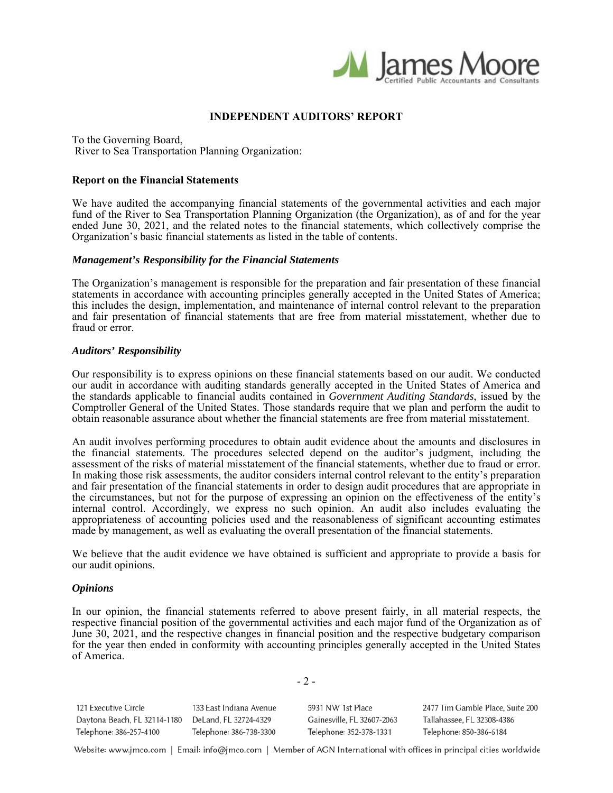

### **INDEPENDENT AUDITORS' REPORT**

To the Governing Board, River to Sea Transportation Planning Organization:

#### **Report on the Financial Statements**

We have audited the accompanying financial statements of the governmental activities and each major fund of the River to Sea Transportation Planning Organization (the Organization), as of and for the year ended June 30, 2021, and the related notes to the financial statements, which collectively comprise the Organization's basic financial statements as listed in the table of contents.

#### *Management's Responsibility for the Financial Statements*

The Organization's management is responsible for the preparation and fair presentation of these financial statements in accordance with accounting principles generally accepted in the United States of America; this includes the design, implementation, and maintenance of internal control relevant to the preparation and fair presentation of financial statements that are free from material misstatement, whether due to fraud or error.

#### *Auditors' Responsibility*

Our responsibility is to express opinions on these financial statements based on our audit. We conducted our audit in accordance with auditing standards generally accepted in the United States of America and the standards applicable to financial audits contained in *Government Auditing Standards*, issued by the Comptroller General of the United States. Those standards require that we plan and perform the audit to obtain reasonable assurance about whether the financial statements are free from material misstatement.

An audit involves performing procedures to obtain audit evidence about the amounts and disclosures in the financial statements. The procedures selected depend on the auditor's judgment, including the assessment of the risks of material misstatement of the financial statements, whether due to fraud or error. In making those risk assessments, the auditor considers internal control relevant to the entity's preparation and fair presentation of the financial statements in order to design audit procedures that are appropriate in the circumstances, but not for the purpose of expressing an opinion on the effectiveness of the entity's internal control. Accordingly, we express no such opinion. An audit also includes evaluating the appropriateness of accounting policies used and the reasonableness of significant accounting estimates made by management, as well as evaluating the overall presentation of the financial statements.

We believe that the audit evidence we have obtained is sufficient and appropriate to provide a basis for our audit opinions.

#### *Opinions*

In our opinion, the financial statements referred to above present fairly, in all material respects, the respective financial position of the governmental activities and each major fund of the Organization as of June 30, 2021, and the respective changes in financial position and the respective budgetary comparison for the year then ended in conformity with accounting principles generally accepted in the United States of America.

- 2 -

121 Executive Circle 133 East Indiana Avenue 5931 NW 1st Place 2477 Tim Gamble Place, Suite 200 Daytona Beach, FL 32114-1180 DeLand, FL 32724-4329 Gainesville, FL 32607-2063 Tallahassee, FL 32308-4386 Telephone: 386-257-4100 Telephone: 386-738-3300 Telephone: 352-378-1331 Telephone: 850-386-6184

Website: www.jmco.com | Email: info@jmco.com | Member of AGN International with offices in principal cities worldwide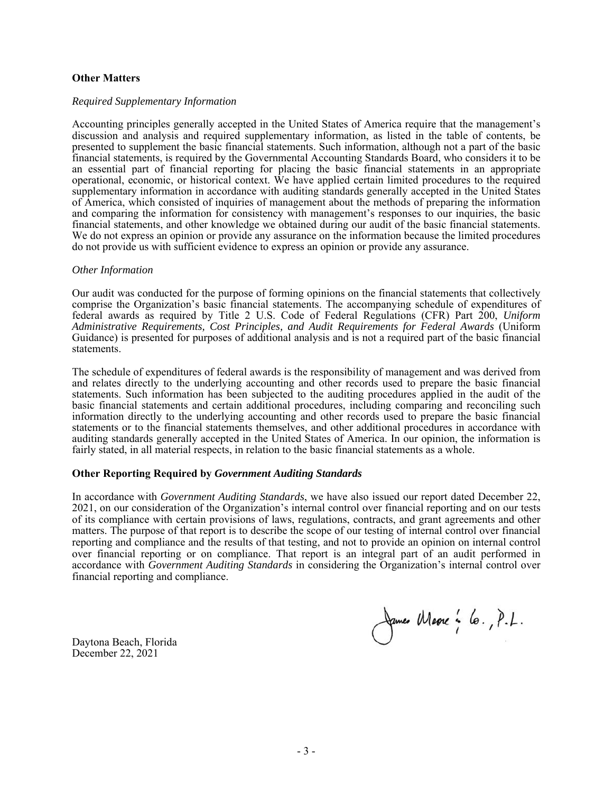### **Other Matters**

#### *Required Supplementary Information*

Accounting principles generally accepted in the United States of America require that the management's discussion and analysis and required supplementary information, as listed in the table of contents, be presented to supplement the basic financial statements. Such information, although not a part of the basic financial statements, is required by the Governmental Accounting Standards Board, who considers it to be an essential part of financial reporting for placing the basic financial statements in an appropriate operational, economic, or historical context. We have applied certain limited procedures to the required supplementary information in accordance with auditing standards generally accepted in the United States of America, which consisted of inquiries of management about the methods of preparing the information and comparing the information for consistency with management's responses to our inquiries, the basic financial statements, and other knowledge we obtained during our audit of the basic financial statements. We do not express an opinion or provide any assurance on the information because the limited procedures do not provide us with sufficient evidence to express an opinion or provide any assurance.

#### *Other Information*

Our audit was conducted for the purpose of forming opinions on the financial statements that collectively comprise the Organization's basic financial statements. The accompanying schedule of expenditures of federal awards as required by Title 2 U.S. Code of Federal Regulations (CFR) Part 200, *Uniform Administrative Requirements, Cost Principles, and Audit Requirements for Federal Awards* (Uniform Guidance) is presented for purposes of additional analysis and is not a required part of the basic financial statements.

The schedule of expenditures of federal awards is the responsibility of management and was derived from and relates directly to the underlying accounting and other records used to prepare the basic financial statements. Such information has been subjected to the auditing procedures applied in the audit of the basic financial statements and certain additional procedures, including comparing and reconciling such information directly to the underlying accounting and other records used to prepare the basic financial statements or to the financial statements themselves, and other additional procedures in accordance with auditing standards generally accepted in the United States of America. In our opinion, the information is fairly stated, in all material respects, in relation to the basic financial statements as a whole.

#### **Other Reporting Required by** *Government Auditing Standards*

In accordance with *Government Auditing Standards*, we have also issued our report dated December 22, 2021, on our consideration of the Organization's internal control over financial reporting and on our tests of its compliance with certain provisions of laws, regulations, contracts, and grant agreements and other matters. The purpose of that report is to describe the scope of our testing of internal control over financial reporting and compliance and the results of that testing, and not to provide an opinion on internal control over financial reporting or on compliance. That report is an integral part of an audit performed in accordance with *Government Auditing Standards* in considering the Organization's internal control over financial reporting and compliance.

James Masse : lo., P.L.

Daytona Beach, Florida December 22, 2021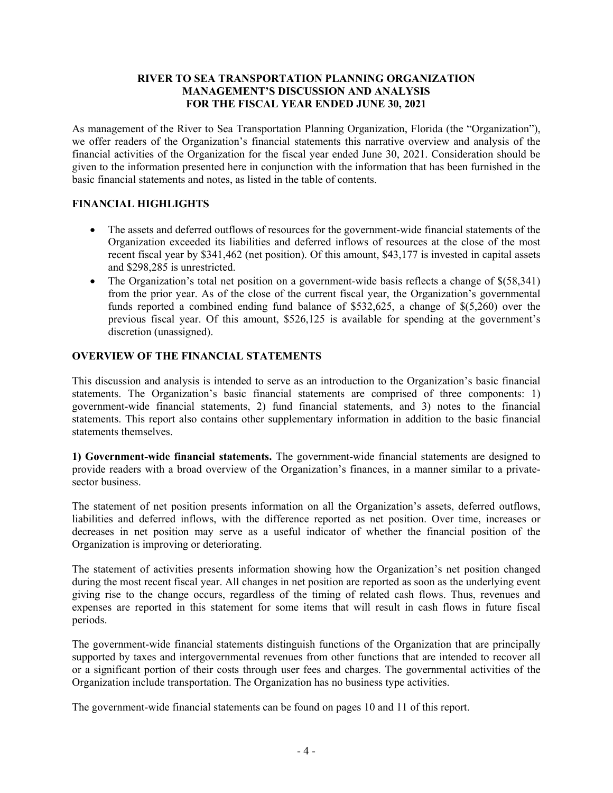## **RIVER TO SEA TRANSPORTATION PLANNING ORGANIZATION MANAGEMENT'S DISCUSSION AND ANALYSIS FOR THE FISCAL YEAR ENDED JUNE 30, 2021**

As management of the River to Sea Transportation Planning Organization, Florida (the "Organization"), we offer readers of the Organization's financial statements this narrative overview and analysis of the financial activities of the Organization for the fiscal year ended June 30, 2021. Consideration should be given to the information presented here in conjunction with the information that has been furnished in the basic financial statements and notes, as listed in the table of contents.

## **FINANCIAL HIGHLIGHTS**

- The assets and deferred outflows of resources for the government-wide financial statements of the Organization exceeded its liabilities and deferred inflows of resources at the close of the most recent fiscal year by \$341,462 (net position). Of this amount, \$43,177 is invested in capital assets and \$298,285 is unrestricted.
- The Organization's total net position on a government-wide basis reflects a change of \$(58,341) from the prior year. As of the close of the current fiscal year, the Organization's governmental funds reported a combined ending fund balance of \$532,625, a change of \$(5,260) over the previous fiscal year. Of this amount, \$526,125 is available for spending at the government's discretion (unassigned).

## **OVERVIEW OF THE FINANCIAL STATEMENTS**

This discussion and analysis is intended to serve as an introduction to the Organization's basic financial statements. The Organization's basic financial statements are comprised of three components: 1) government-wide financial statements, 2) fund financial statements, and 3) notes to the financial statements. This report also contains other supplementary information in addition to the basic financial statements themselves.

**1) Government-wide financial statements.** The government-wide financial statements are designed to provide readers with a broad overview of the Organization's finances, in a manner similar to a privatesector business.

The statement of net position presents information on all the Organization's assets, deferred outflows, liabilities and deferred inflows, with the difference reported as net position. Over time, increases or decreases in net position may serve as a useful indicator of whether the financial position of the Organization is improving or deteriorating.

The statement of activities presents information showing how the Organization's net position changed during the most recent fiscal year. All changes in net position are reported as soon as the underlying event giving rise to the change occurs, regardless of the timing of related cash flows. Thus, revenues and expenses are reported in this statement for some items that will result in cash flows in future fiscal periods.

The government-wide financial statements distinguish functions of the Organization that are principally supported by taxes and intergovernmental revenues from other functions that are intended to recover all or a significant portion of their costs through user fees and charges. The governmental activities of the Organization include transportation. The Organization has no business type activities.

The government-wide financial statements can be found on pages 10 and 11 of this report.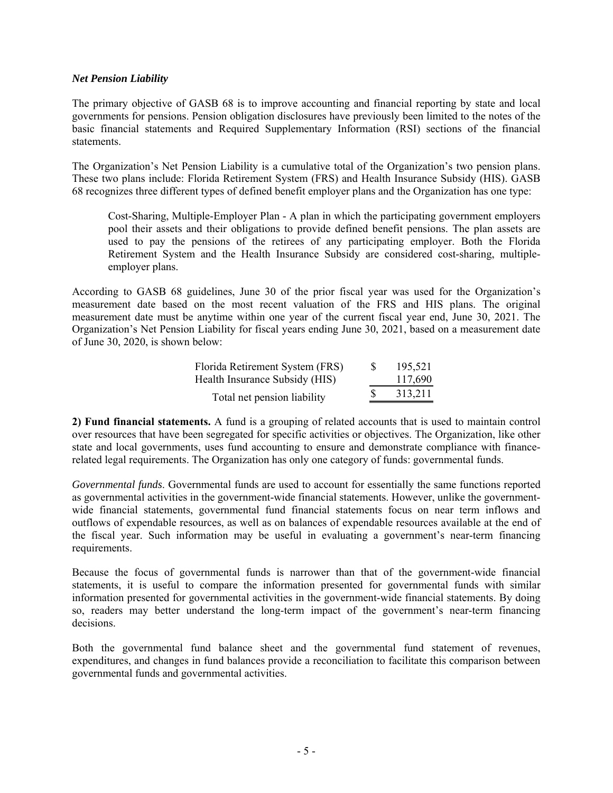## *Net Pension Liability*

The primary objective of GASB 68 is to improve accounting and financial reporting by state and local governments for pensions. Pension obligation disclosures have previously been limited to the notes of the basic financial statements and Required Supplementary Information (RSI) sections of the financial statements.

The Organization's Net Pension Liability is a cumulative total of the Organization's two pension plans. These two plans include: Florida Retirement System (FRS) and Health Insurance Subsidy (HIS). GASB 68 recognizes three different types of defined benefit employer plans and the Organization has one type:

Cost-Sharing, Multiple-Employer Plan - A plan in which the participating government employers pool their assets and their obligations to provide defined benefit pensions. The plan assets are used to pay the pensions of the retirees of any participating employer. Both the Florida Retirement System and the Health Insurance Subsidy are considered cost-sharing, multipleemployer plans.

According to GASB 68 guidelines, June 30 of the prior fiscal year was used for the Organization's measurement date based on the most recent valuation of the FRS and HIS plans. The original measurement date must be anytime within one year of the current fiscal year end, June 30, 2021. The Organization's Net Pension Liability for fiscal years ending June 30, 2021, based on a measurement date of June 30, 2020, is shown below:

| Florida Retirement System (FRS) | <b>S</b> | 195,521 |
|---------------------------------|----------|---------|
| Health Insurance Subsidy (HIS)  |          | 117,690 |
| Total net pension liability     |          | 313,211 |

**2) Fund financial statements.** A fund is a grouping of related accounts that is used to maintain control over resources that have been segregated for specific activities or objectives. The Organization, like other state and local governments, uses fund accounting to ensure and demonstrate compliance with financerelated legal requirements. The Organization has only one category of funds: governmental funds.

*Governmental funds*. Governmental funds are used to account for essentially the same functions reported as governmental activities in the government-wide financial statements. However, unlike the governmentwide financial statements, governmental fund financial statements focus on near term inflows and outflows of expendable resources, as well as on balances of expendable resources available at the end of the fiscal year. Such information may be useful in evaluating a government's near-term financing requirements.

Because the focus of governmental funds is narrower than that of the government-wide financial statements, it is useful to compare the information presented for governmental funds with similar information presented for governmental activities in the government-wide financial statements. By doing so, readers may better understand the long-term impact of the government's near-term financing decisions.

Both the governmental fund balance sheet and the governmental fund statement of revenues, expenditures, and changes in fund balances provide a reconciliation to facilitate this comparison between governmental funds and governmental activities.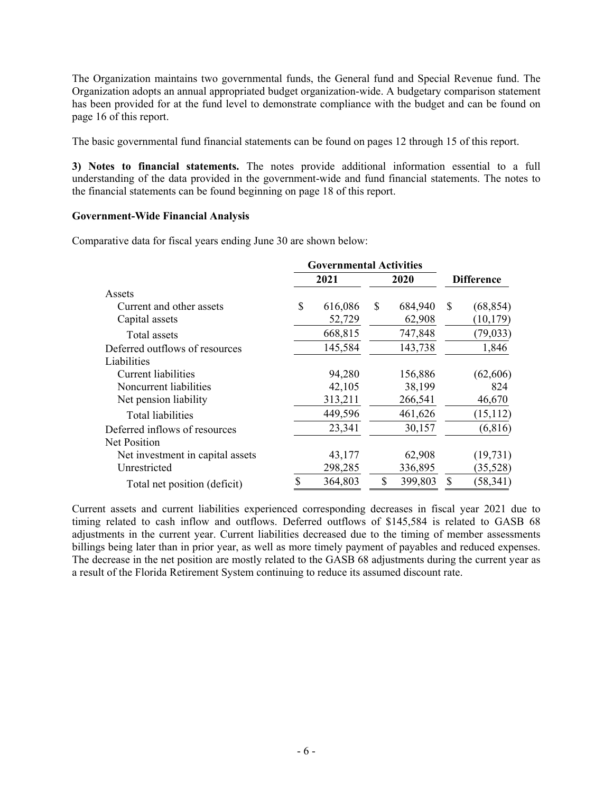The Organization maintains two governmental funds, the General fund and Special Revenue fund. The Organization adopts an annual appropriated budget organization-wide. A budgetary comparison statement has been provided for at the fund level to demonstrate compliance with the budget and can be found on page 16 of this report.

The basic governmental fund financial statements can be found on pages 12 through 15 of this report.

**3) Notes to financial statements.** The notes provide additional information essential to a full understanding of the data provided in the government-wide and fund financial statements. The notes to the financial statements can be found beginning on page 18 of this report.

### **Government-Wide Financial Analysis**

Comparative data for fiscal years ending June 30 are shown below:

|                                  | <b>Governmental Activities</b> |               |     |                   |
|----------------------------------|--------------------------------|---------------|-----|-------------------|
|                                  | 2021                           | 2020          |     | <b>Difference</b> |
| Assets                           |                                |               |     |                   |
| Current and other assets         | \$<br>616,086                  | \$<br>684,940 | \$. | (68, 854)         |
| Capital assets                   | 52,729                         | 62,908        |     | (10, 179)         |
| Total assets                     | 668,815                        | 747,848       |     | (79, 033)         |
| Deferred outflows of resources   | 145,584                        | 143,738       |     | 1,846             |
| Liabilities                      |                                |               |     |                   |
| Current liabilities              | 94,280                         | 156,886       |     | (62,606)          |
| Noncurrent liabilities           | 42,105                         | 38,199        |     | 824               |
| Net pension liability            | 313,211                        | 266,541       |     | 46,670            |
| Total liabilities                | 449,596                        | 461,626       |     | (15, 112)         |
| Deferred inflows of resources    | 23,341                         | 30,157        |     | (6,816)           |
| Net Position                     |                                |               |     |                   |
| Net investment in capital assets | 43,177                         | 62,908        |     | (19, 731)         |
| Unrestricted                     | 298,285                        | 336,895       |     | (35, 528)         |
| Total net position (deficit)     | 364,803                        | \$<br>399,803 |     | (58, 341)         |

Current assets and current liabilities experienced corresponding decreases in fiscal year 2021 due to timing related to cash inflow and outflows. Deferred outflows of \$145,584 is related to GASB 68 adjustments in the current year. Current liabilities decreased due to the timing of member assessments billings being later than in prior year, as well as more timely payment of payables and reduced expenses. The decrease in the net position are mostly related to the GASB 68 adjustments during the current year as a result of the Florida Retirement System continuing to reduce its assumed discount rate.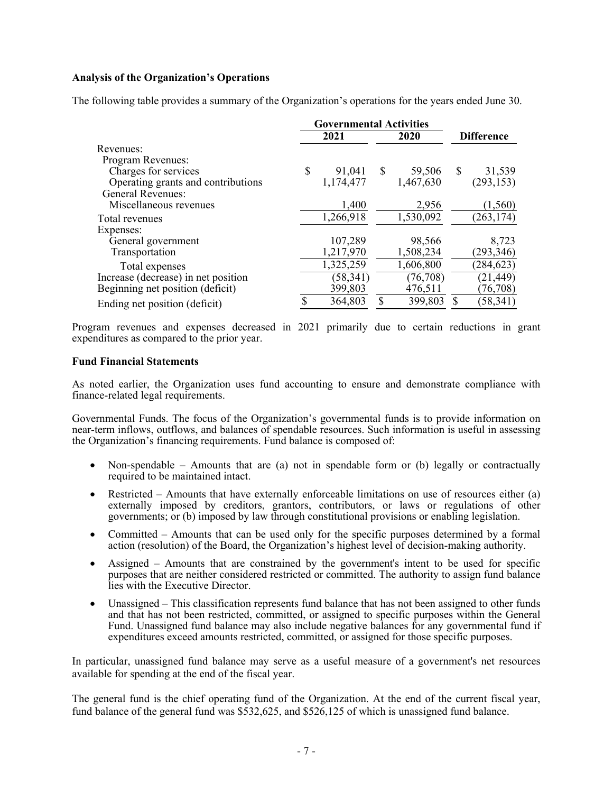## **Analysis of the Organization's Operations**

The following table provides a summary of the Organization's operations for the years ended June 30.

|                                     |    | <b>Governmental Activities</b> |                           |           |                   |            |  |
|-------------------------------------|----|--------------------------------|---------------------------|-----------|-------------------|------------|--|
|                                     |    | 2021<br>2020                   |                           |           | <b>Difference</b> |            |  |
| Revenues:                           |    |                                |                           |           |                   |            |  |
| Program Revenues:                   |    |                                |                           |           |                   |            |  |
| Charges for services                | \$ | 91,041                         | $\boldsymbol{\mathsf{S}}$ | 59,506    | \$                | 31,539     |  |
| Operating grants and contributions  |    | 1,174,477                      |                           | 1,467,630 |                   | (293, 153) |  |
| <b>General Revenues:</b>            |    |                                |                           |           |                   |            |  |
| Miscellaneous revenues              |    | 1,400                          |                           | 2,956     |                   | (1, 560)   |  |
| Total revenues                      |    | 1,266,918                      |                           | 1,530,092 |                   | (263, 174) |  |
| Expenses:                           |    |                                |                           |           |                   |            |  |
| General government                  |    | 107,289                        |                           | 98,566    |                   | 8,723      |  |
| Transportation                      |    | 1,217,970                      |                           | 1,508,234 |                   | (293, 346) |  |
| Total expenses                      |    | 1,325,259                      |                           | 1,606,800 |                   | (284, 623) |  |
| Increase (decrease) in net position |    | (58, 341)                      |                           | (76,708)  |                   | (21, 449)  |  |
| Beginning net position (deficit)    |    | 399,803                        |                           | 476,511   |                   | (76, 708)  |  |
| Ending net position (deficit)       |    | 364,803                        |                           | 399,803   |                   | (58, 341)  |  |

Program revenues and expenses decreased in 2021 primarily due to certain reductions in grant expenditures as compared to the prior year.

#### **Fund Financial Statements**

As noted earlier, the Organization uses fund accounting to ensure and demonstrate compliance with finance-related legal requirements.

Governmental Funds. The focus of the Organization's governmental funds is to provide information on near-term inflows, outflows, and balances of spendable resources. Such information is useful in assessing the Organization's financing requirements. Fund balance is composed of:

- Non-spendable Amounts that are (a) not in spendable form or (b) legally or contractually required to be maintained intact.
- Restricted Amounts that have externally enforceable limitations on use of resources either (a) externally imposed by creditors, grantors, contributors, or laws or regulations of other governments; or (b) imposed by law through constitutional provisions or enabling legislation.
- Committed Amounts that can be used only for the specific purposes determined by a formal action (resolution) of the Board, the Organization's highest level of decision-making authority.
- Assigned Amounts that are constrained by the government's intent to be used for specific purposes that are neither considered restricted or committed. The authority to assign fund balance lies with the Executive Director.
- Unassigned This classification represents fund balance that has not been assigned to other funds and that has not been restricted, committed, or assigned to specific purposes within the General Fund. Unassigned fund balance may also include negative balances for any governmental fund if expenditures exceed amounts restricted, committed, or assigned for those specific purposes.

In particular, unassigned fund balance may serve as a useful measure of a government's net resources available for spending at the end of the fiscal year.

The general fund is the chief operating fund of the Organization. At the end of the current fiscal year, fund balance of the general fund was \$532,625, and \$526,125 of which is unassigned fund balance.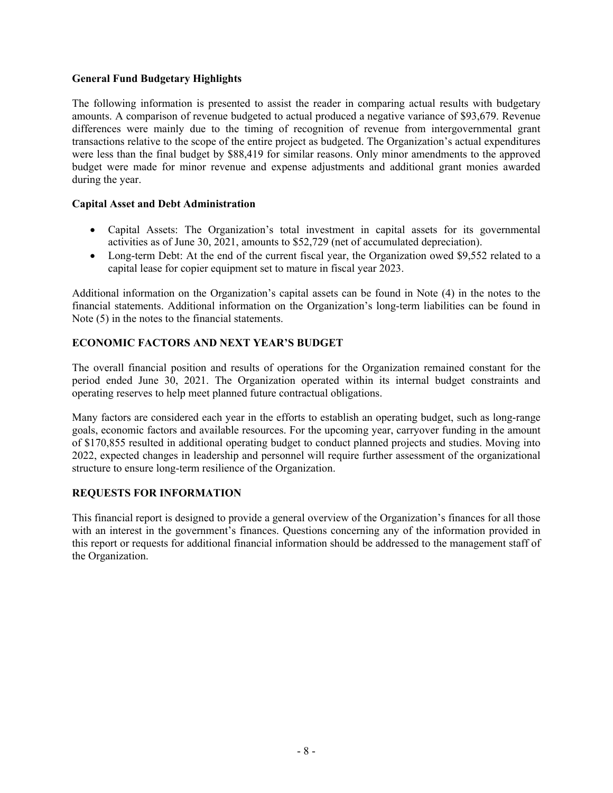## **General Fund Budgetary Highlights**

The following information is presented to assist the reader in comparing actual results with budgetary amounts. A comparison of revenue budgeted to actual produced a negative variance of \$93,679. Revenue differences were mainly due to the timing of recognition of revenue from intergovernmental grant transactions relative to the scope of the entire project as budgeted. The Organization's actual expenditures were less than the final budget by \$88,419 for similar reasons. Only minor amendments to the approved budget were made for minor revenue and expense adjustments and additional grant monies awarded during the year.

## **Capital Asset and Debt Administration**

- Capital Assets: The Organization's total investment in capital assets for its governmental activities as of June 30, 2021, amounts to \$52,729 (net of accumulated depreciation).
- Long-term Debt: At the end of the current fiscal year, the Organization owed \$9,552 related to a capital lease for copier equipment set to mature in fiscal year 2023.

Additional information on the Organization's capital assets can be found in Note (4) in the notes to the financial statements. Additional information on the Organization's long-term liabilities can be found in Note (5) in the notes to the financial statements.

## **ECONOMIC FACTORS AND NEXT YEAR'S BUDGET**

The overall financial position and results of operations for the Organization remained constant for the period ended June 30, 2021. The Organization operated within its internal budget constraints and operating reserves to help meet planned future contractual obligations.

Many factors are considered each year in the efforts to establish an operating budget, such as long-range goals, economic factors and available resources. For the upcoming year, carryover funding in the amount of \$170,855 resulted in additional operating budget to conduct planned projects and studies. Moving into 2022, expected changes in leadership and personnel will require further assessment of the organizational structure to ensure long-term resilience of the Organization.

## **REQUESTS FOR INFORMATION**

This financial report is designed to provide a general overview of the Organization's finances for all those with an interest in the government's finances. Questions concerning any of the information provided in this report or requests for additional financial information should be addressed to the management staff of the Organization.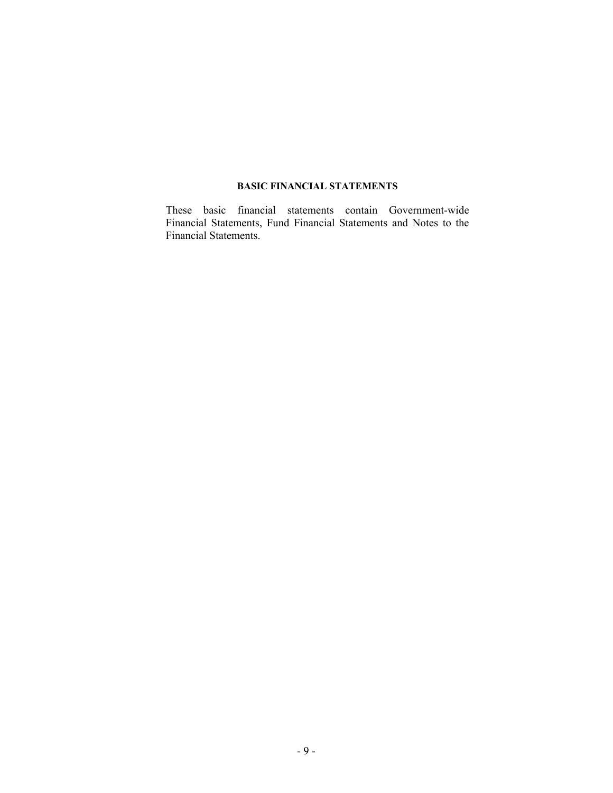### **BASIC FINANCIAL STATEMENTS**

These basic financial statements contain Government-wide Financial Statements, Fund Financial Statements and Notes to the Financial Statements.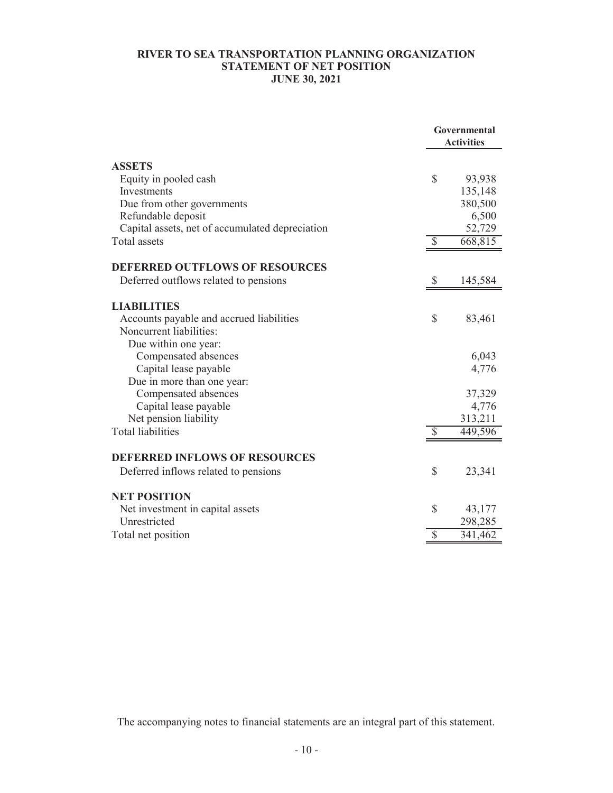## **RIVER TO SEA TRANSPORTATION PLANNING ORGANIZATION STATEMENT OF NET POSITION JUNE 30, 2021**

|                                                 |                          | Governmental<br><b>Activities</b> |
|-------------------------------------------------|--------------------------|-----------------------------------|
| <b>ASSETS</b>                                   |                          |                                   |
| Equity in pooled cash                           | \$                       | 93,938                            |
| Investments                                     |                          | 135,148                           |
| Due from other governments                      |                          | 380,500                           |
| Refundable deposit                              |                          | 6,500                             |
| Capital assets, net of accumulated depreciation |                          | 52,729                            |
| <b>Total</b> assets                             | $\overline{\mathcal{S}}$ | 668,815                           |
| <b>DEFERRED OUTFLOWS OF RESOURCES</b>           |                          |                                   |
| Deferred outflows related to pensions           | <sup>\$</sup>            | 145,584                           |
| <b>LIABILITIES</b>                              |                          |                                   |
| Accounts payable and accrued liabilities        | \$                       | 83,461                            |
| Noncurrent liabilities:                         |                          |                                   |
| Due within one year:                            |                          |                                   |
| Compensated absences                            |                          | 6,043                             |
| Capital lease payable                           |                          | 4,776                             |
| Due in more than one year:                      |                          |                                   |
| Compensated absences                            |                          | 37,329                            |
| Capital lease payable                           |                          | 4,776                             |
| Net pension liability                           |                          | 313,211                           |
| <b>Total liabilities</b>                        | $\overline{\mathcal{S}}$ | 449,596                           |
| <b>DEFERRED INFLOWS OF RESOURCES</b>            |                          |                                   |
| Deferred inflows related to pensions            | \$                       | 23,341                            |
| <b>NET POSITION</b>                             |                          |                                   |
| Net investment in capital assets                | \$                       | 43,177                            |
| Unrestricted                                    |                          | 298,285                           |
| Total net position                              | $\overline{\mathcal{S}}$ | 341,462                           |

The accompanying notes to financial statements are an integral part of this statement.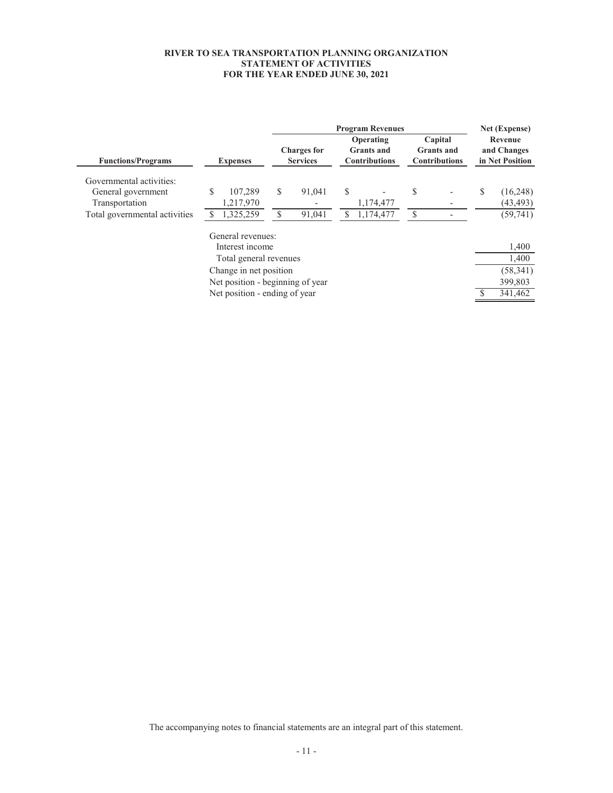#### **RIVER TO SEA TRANSPORTATION PLANNING ORGANIZATION STATEMENT OF ACTIVITIES FOR THE YEAR ENDED JUNE 30, 2021**

|                               |                                  | <b>Program Revenues</b>               |    |                                                        |   |                                                      |    | Net (Expense)                             |
|-------------------------------|----------------------------------|---------------------------------------|----|--------------------------------------------------------|---|------------------------------------------------------|----|-------------------------------------------|
| <b>Functions/Programs</b>     | <b>Expenses</b>                  | <b>Charges</b> for<br><b>Services</b> |    | Operating<br><b>Grants</b> and<br><b>Contributions</b> |   | Capital<br><b>Grants</b> and<br><b>Contributions</b> |    | Revenue<br>and Changes<br>in Net Position |
| Governmental activities:      |                                  |                                       |    |                                                        |   |                                                      |    |                                           |
| General government            | S<br>107,289                     | \$<br>91,041                          | \$ |                                                        | S |                                                      | \$ | (16,248)                                  |
| Transportation                | 1,217,970                        |                                       |    | 1,174,477                                              |   |                                                      |    | (43, 493)                                 |
| Total governmental activities | 1,325,259                        | 91,041                                | S  | 1,174,477                                              | S |                                                      |    | (59,741)                                  |
|                               | General revenues:                |                                       |    |                                                        |   |                                                      |    |                                           |
|                               | Interest income                  |                                       |    |                                                        |   |                                                      |    | 1,400                                     |
|                               | Total general revenues           |                                       |    |                                                        |   |                                                      |    | 1,400                                     |
|                               | Change in net position           |                                       |    |                                                        |   |                                                      |    | (58, 341)                                 |
|                               | Net position - beginning of year |                                       |    |                                                        |   |                                                      |    | 399,803                                   |
|                               | Net position - ending of year    |                                       |    |                                                        |   |                                                      |    | 341,462                                   |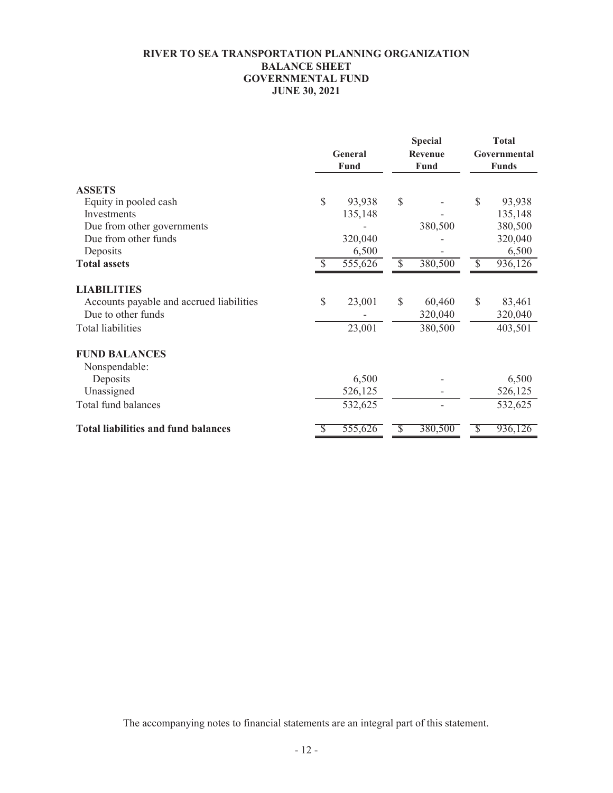## **RIVER TO SEA TRANSPORTATION PLANNING ORGANIZATION BALANCE SHEET GOVERNMENTAL FUND JUNE 30, 2021**

|                                                                                                             | General<br><b>Fund</b> |                              | <b>Special</b><br><b>Revenue</b><br><b>Fund</b> |                              |               | <b>Total</b><br>Governmental<br><b>Funds</b> |
|-------------------------------------------------------------------------------------------------------------|------------------------|------------------------------|-------------------------------------------------|------------------------------|---------------|----------------------------------------------|
| <b>ASSETS</b><br>Equity in pooled cash<br>Investments<br>Due from other governments<br>Due from other funds | $\mathcal{S}$          | 93,938<br>135,148<br>320,040 | $\mathcal{S}$                                   | 380,500                      | S             | 93,938<br>135,148<br>380,500<br>320,040      |
| Deposits<br><b>Total assets</b>                                                                             | <sup>\$</sup>          | 6,500<br>555,626             | \$                                              | 380,500                      | \$            | 6,500<br>936,126                             |
| <b>LIABILITIES</b><br>Accounts payable and accrued liabilities<br>Due to other funds<br>Total liabilities   | \$                     | 23,001<br>23,001             | \$                                              | 60,460<br>320,040<br>380,500 | $\mathcal{S}$ | 83,461<br>320,040<br>403,501                 |
| <b>FUND BALANCES</b><br>Nonspendable:<br>Deposits<br>Unassigned<br>Total fund balances                      |                        | 6,500<br>526,125<br>532,625  |                                                 |                              |               | 6,500<br>526,125<br>532,625                  |
| <b>Total liabilities and fund balances</b>                                                                  |                        | 555,626                      |                                                 | 380,500                      |               | 936,126                                      |

The accompanying notes to financial statements are an integral part of this statement.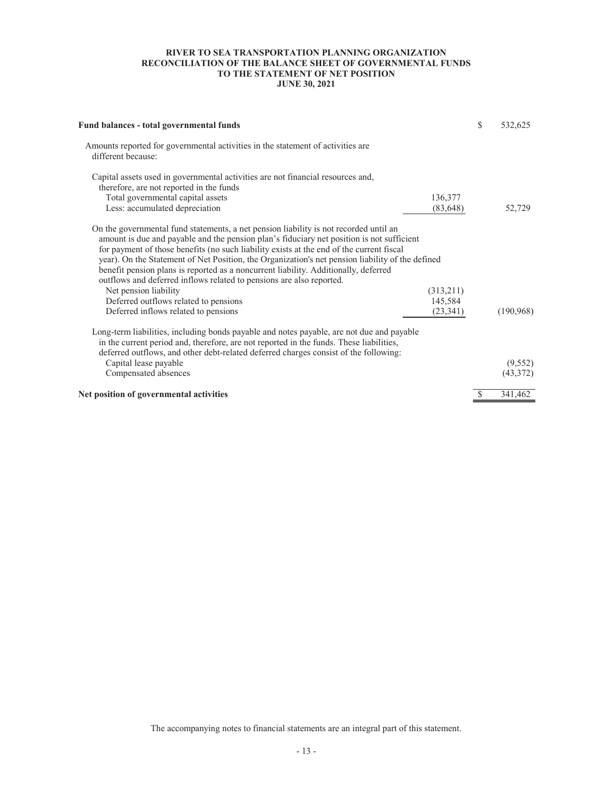#### **RIVER TO SEA TRANSPORTATION PLANNING ORGANIZATION RECONCILIATION OF THE BALANCE SHEET OF GOVERNMENTAL FUNDS TO THE STATEMENT OF NET POSITION JUNE 30, 2021**

| Fund balances - total governmental funds                                                                                                                                                                                                                                                                                                                                                                                                                                                                                                                                                                                                                    |                                   | \$<br>532,625 |
|-------------------------------------------------------------------------------------------------------------------------------------------------------------------------------------------------------------------------------------------------------------------------------------------------------------------------------------------------------------------------------------------------------------------------------------------------------------------------------------------------------------------------------------------------------------------------------------------------------------------------------------------------------------|-----------------------------------|---------------|
| Amounts reported for governmental activities in the statement of activities are<br>different because:                                                                                                                                                                                                                                                                                                                                                                                                                                                                                                                                                       |                                   |               |
| Capital assets used in governmental activities are not financial resources and,<br>therefore, are not reported in the funds                                                                                                                                                                                                                                                                                                                                                                                                                                                                                                                                 |                                   |               |
| Total governmental capital assets                                                                                                                                                                                                                                                                                                                                                                                                                                                                                                                                                                                                                           | 136,377                           |               |
| Less: accumulated depreciation                                                                                                                                                                                                                                                                                                                                                                                                                                                                                                                                                                                                                              | (83, 648)                         | 52,729        |
| On the governmental fund statements, a net pension liability is not recorded until an<br>amount is due and payable and the pension plan's fiduciary net position is not sufficient<br>for payment of those benefits (no such liability exists at the end of the current fiscal<br>year). On the Statement of Net Position, the Organization's net pension liability of the defined<br>benefit pension plans is reported as a noncurrent liability. Additionally, deferred<br>outflows and deferred inflows related to pensions are also reported.<br>Net pension liability<br>Deferred outflows related to pensions<br>Deferred inflows related to pensions | (313,211)<br>145,584<br>(23, 341) | (190,968)     |
| Long-term liabilities, including bonds payable and notes payable, are not due and payable<br>in the current period and, therefore, are not reported in the funds. These liabilities,<br>deferred outflows, and other debt-related deferred charges consist of the following:                                                                                                                                                                                                                                                                                                                                                                                |                                   |               |
| Capital lease payable                                                                                                                                                                                                                                                                                                                                                                                                                                                                                                                                                                                                                                       |                                   | (9,552)       |
| Compensated absences                                                                                                                                                                                                                                                                                                                                                                                                                                                                                                                                                                                                                                        |                                   | (43,372)      |
| Net position of governmental activities                                                                                                                                                                                                                                                                                                                                                                                                                                                                                                                                                                                                                     |                                   | 341,462       |
|                                                                                                                                                                                                                                                                                                                                                                                                                                                                                                                                                                                                                                                             |                                   |               |

The accompanying notes to financial statements are an integral part of this statement.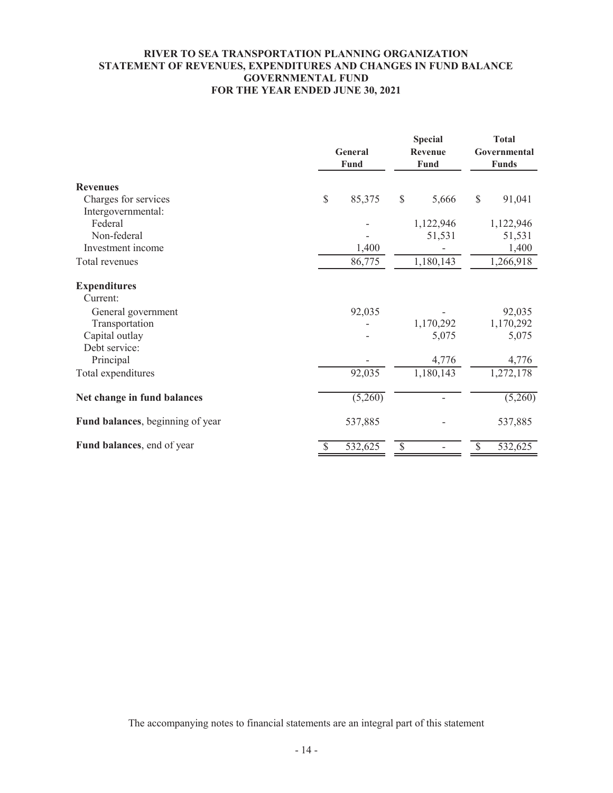## **RIVER TO SEA TRANSPORTATION PLANNING ORGANIZATION STATEMENT OF REVENUES, EXPENDITURES AND CHANGES IN FUND BALANCE GOVERNMENTAL FUND FOR THE YEAR ENDED JUNE 30, 2021**

|                                  | General<br>Fund         | <b>Special</b><br>Revenue<br>Fund | <b>Total</b><br>Governmental<br><b>Funds</b> |  |
|----------------------------------|-------------------------|-----------------------------------|----------------------------------------------|--|
| <b>Revenues</b>                  |                         |                                   |                                              |  |
| Charges for services             | $\mathcal{S}$<br>85,375 | \$<br>5,666                       | $\mathcal{S}$<br>91,041                      |  |
| Intergovernmental:               |                         |                                   |                                              |  |
| Federal                          |                         | 1,122,946                         | 1,122,946                                    |  |
| Non-federal                      |                         | 51,531                            | 51,531                                       |  |
| Investment income                | 1,400                   |                                   | 1,400                                        |  |
| Total revenues                   | 86,775                  | 1,180,143                         | 1,266,918                                    |  |
| <b>Expenditures</b>              |                         |                                   |                                              |  |
| Current:                         |                         |                                   |                                              |  |
| General government               | 92,035                  |                                   | 92,035                                       |  |
| Transportation                   |                         | 1,170,292                         | 1,170,292                                    |  |
| Capital outlay                   |                         | 5,075                             | 5,075                                        |  |
| Debt service:                    |                         |                                   |                                              |  |
| Principal                        |                         | 4,776                             | 4,776                                        |  |
| Total expenditures               | 92,035                  | 1,180,143                         | 1,272,178                                    |  |
| Net change in fund balances      | (5,260)                 |                                   | (5,260)                                      |  |
| Fund balances, beginning of year | 537,885                 |                                   | 537,885                                      |  |
| Fund balances, end of year       | 532,625<br>S            | \$                                | 532,625                                      |  |

The accompanying notes to financial statements are an integral part of this statement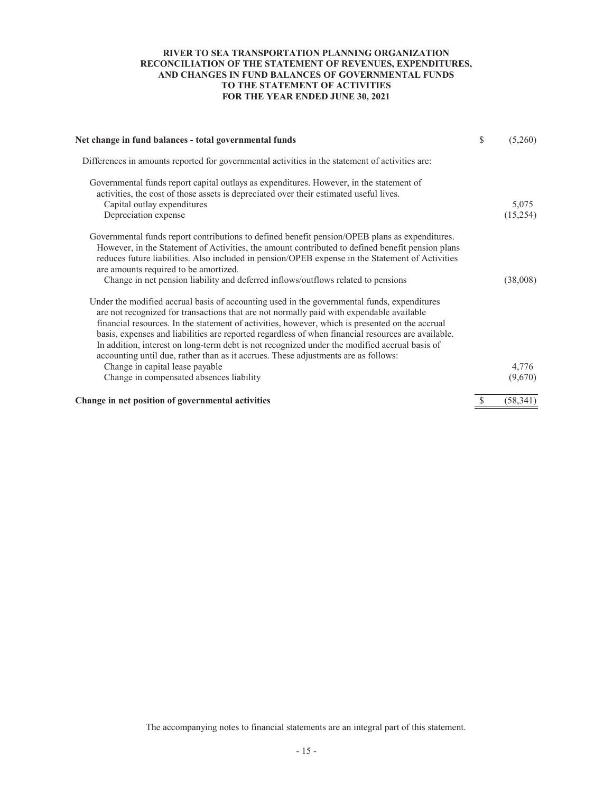#### **RIVER TO SEA TRANSPORTATION PLANNING ORGANIZATION RECONCILIATION OF THE STATEMENT OF REVENUES, EXPENDITURES, AND CHANGES IN FUND BALANCES OF GOVERNMENTAL FUNDS TO THE STATEMENT OF ACTIVITIES FOR THE YEAR ENDED JUNE 30, 2021**

| Net change in fund balances - total governmental funds                                                                                                                                                                                                                                                                                                                                                                                                                                                                                                                                  | $\mathbb{S}$ | (5,260)           |
|-----------------------------------------------------------------------------------------------------------------------------------------------------------------------------------------------------------------------------------------------------------------------------------------------------------------------------------------------------------------------------------------------------------------------------------------------------------------------------------------------------------------------------------------------------------------------------------------|--------------|-------------------|
| Differences in amounts reported for governmental activities in the statement of activities are:                                                                                                                                                                                                                                                                                                                                                                                                                                                                                         |              |                   |
| Governmental funds report capital outlays as expenditures. However, in the statement of<br>activities, the cost of those assets is depreciated over their estimated useful lives.<br>Capital outlay expenditures<br>Depreciation expense                                                                                                                                                                                                                                                                                                                                                |              | 5,075<br>(15,254) |
| Governmental funds report contributions to defined benefit pension/OPEB plans as expenditures.<br>However, in the Statement of Activities, the amount contributed to defined benefit pension plans<br>reduces future liabilities. Also included in pension/OPEB expense in the Statement of Activities<br>are amounts required to be amortized.<br>Change in net pension liability and deferred inflows/outflows related to pensions                                                                                                                                                    |              | (38,008)          |
| Under the modified accrual basis of accounting used in the governmental funds, expenditures<br>are not recognized for transactions that are not normally paid with expendable available<br>financial resources. In the statement of activities, however, which is presented on the accrual<br>basis, expenses and liabilities are reported regardless of when financial resources are available.<br>In addition, interest on long-term debt is not recognized under the modified accrual basis of<br>accounting until due, rather than as it accrues. These adjustments are as follows: |              |                   |
| Change in capital lease payable                                                                                                                                                                                                                                                                                                                                                                                                                                                                                                                                                         |              | 4,776             |
| Change in compensated absences liability                                                                                                                                                                                                                                                                                                                                                                                                                                                                                                                                                |              | (9,670)           |
| Change in net position of governmental activities                                                                                                                                                                                                                                                                                                                                                                                                                                                                                                                                       |              | (58, 341)         |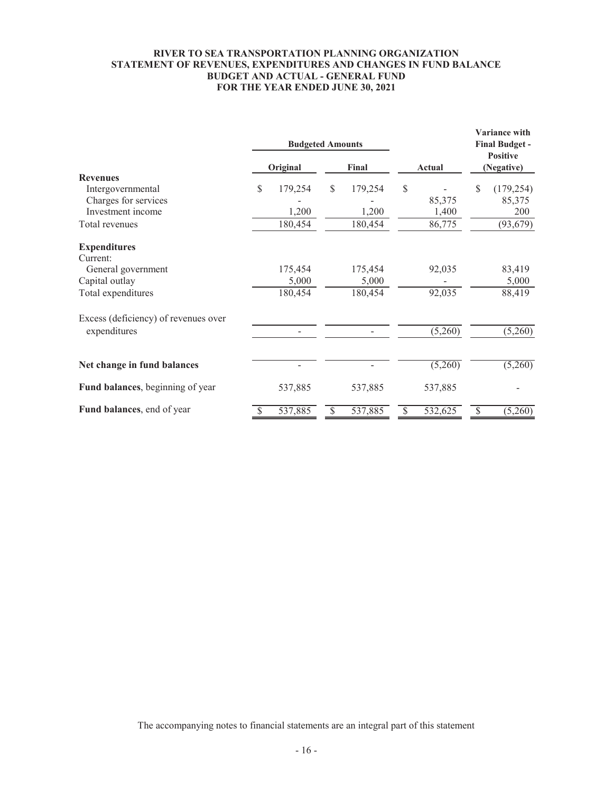#### **RIVER TO SEA TRANSPORTATION PLANNING ORGANIZATION STATEMENT OF REVENUES, EXPENDITURES AND CHANGES IN FUND BALANCE BUDGET AND ACTUAL - GENERAL FUND FOR THE YEAR ENDED JUNE 30, 2021**

|                                      | <b>Budgeted Amounts</b> |          |    |         |    | <b>Variance with</b><br><b>Final Budget -</b><br><b>Positive</b> |                  |
|--------------------------------------|-------------------------|----------|----|---------|----|------------------------------------------------------------------|------------------|
|                                      |                         | Original |    | Final   |    | Actual                                                           | (Negative)       |
| <b>Revenues</b>                      |                         |          |    |         |    |                                                                  |                  |
| Intergovernmental                    | \$                      | 179,254  | \$ | 179,254 | \$ |                                                                  | \$<br>(179, 254) |
| Charges for services                 |                         |          |    |         |    | 85,375                                                           | 85,375           |
| Investment income                    |                         | 1,200    |    | 1,200   |    | 1,400                                                            | 200              |
| Total revenues                       |                         | 180,454  |    | 180,454 |    | 86,775                                                           | (93, 679)        |
| <b>Expenditures</b>                  |                         |          |    |         |    |                                                                  |                  |
| Current:                             |                         |          |    |         |    |                                                                  |                  |
| General government                   |                         | 175,454  |    | 175,454 |    | 92,035                                                           | 83,419           |
| Capital outlay                       |                         | 5,000    |    | 5,000   |    |                                                                  | 5,000            |
| Total expenditures                   |                         | 180,454  |    | 180,454 |    | 92,035                                                           | 88,419           |
| Excess (deficiency) of revenues over |                         |          |    |         |    |                                                                  |                  |
| expenditures                         |                         |          |    |         |    | (5,260)                                                          | (5,260)          |
|                                      |                         |          |    |         |    |                                                                  |                  |
| Net change in fund balances          |                         |          |    |         |    | (5,260)                                                          | (5,260)          |
| Fund balances, beginning of year     |                         | 537,885  |    | 537,885 |    | 537,885                                                          |                  |
| Fund balances, end of year           |                         | 537,885  | \$ | 537,885 | \$ | 532,625                                                          | \$<br>(5,260)    |

The accompanying notes to financial statements are an integral part of this statement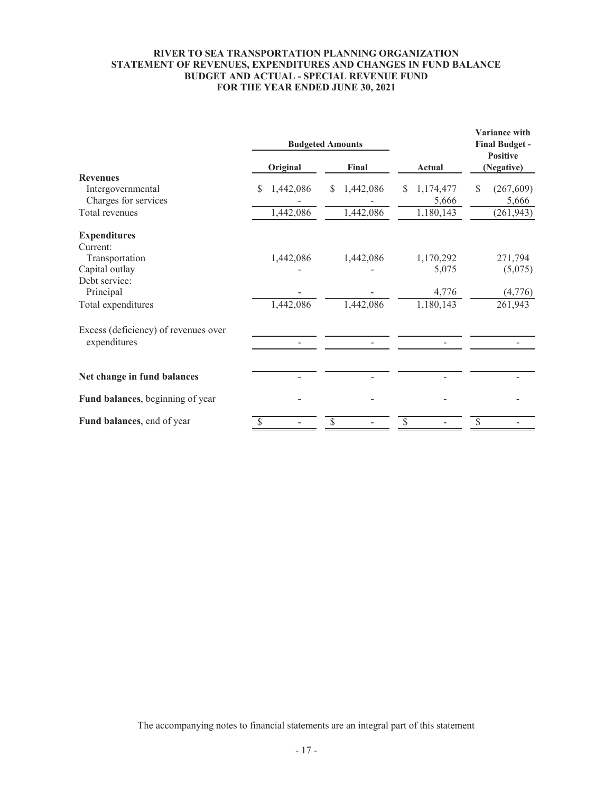#### **RIVER TO SEA TRANSPORTATION PLANNING ORGANIZATION STATEMENT OF REVENUES, EXPENDITURES AND CHANGES IN FUND BALANCE BUDGET AND ACTUAL - SPECIAL REVENUE FUND FOR THE YEAR ENDED JUNE 30, 2021**

|                                      |                | <b>Budgeted Amounts</b> |                    | <b>Variance with</b><br><b>Final Budget -</b><br><b>Positive</b> |  |
|--------------------------------------|----------------|-------------------------|--------------------|------------------------------------------------------------------|--|
|                                      | Original       | Final                   | <b>Actual</b>      | (Negative)                                                       |  |
| <b>Revenues</b>                      |                |                         |                    |                                                                  |  |
| Intergovernmental                    | 1,442,086<br>S | 1,442,086<br>S          | 1,174,477<br>S     | (267, 609)<br>\$                                                 |  |
| Charges for services                 |                |                         | 5,666              | 5,666                                                            |  |
| Total revenues                       | 1,442,086      | 1,442,086               | 1,180,143          | (261, 943)                                                       |  |
| <b>Expenditures</b>                  |                |                         |                    |                                                                  |  |
| Current:                             |                |                         |                    |                                                                  |  |
| Transportation<br>Capital outlay     | 1,442,086      | 1,442,086               | 1,170,292<br>5,075 | 271,794                                                          |  |
| Debt service:                        |                |                         |                    | (5,075)                                                          |  |
| Principal                            |                |                         | 4,776              | (4,776)                                                          |  |
| Total expenditures                   | 1,442,086      | 1,442,086               | 1,180,143          | 261,943                                                          |  |
| Excess (deficiency) of revenues over |                |                         |                    |                                                                  |  |
| expenditures                         |                |                         |                    |                                                                  |  |
|                                      |                |                         |                    |                                                                  |  |
| Net change in fund balances          |                |                         |                    |                                                                  |  |
| Fund balances, beginning of year     |                |                         |                    |                                                                  |  |
| Fund balances, end of year           |                | S                       | S                  | \$                                                               |  |

The accompanying notes to financial statements are an integral part of this statement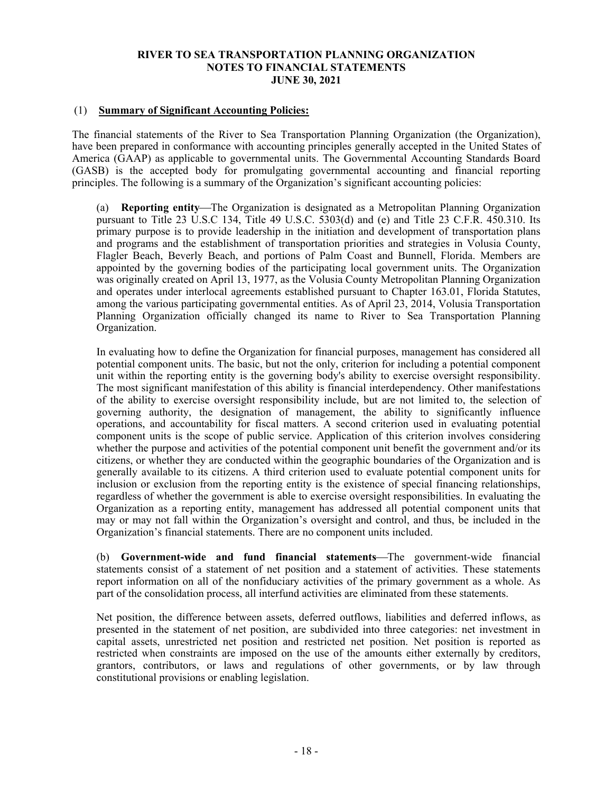## (1) **Summary of Significant Accounting Policies:**

The financial statements of the River to Sea Transportation Planning Organization (the Organization), have been prepared in conformance with accounting principles generally accepted in the United States of America (GAAP) as applicable to governmental units. The Governmental Accounting Standards Board (GASB) is the accepted body for promulgating governmental accounting and financial reporting principles. The following is a summary of the Organization's significant accounting policies:

(a) **Reporting entity—The Organization is designated as a Metropolitan Planning Organization** pursuant to Title 23 U.S.C 134, Title 49 U.S.C. 5303(d) and (e) and Title 23 C.F.R. 450.310. Its primary purpose is to provide leadership in the initiation and development of transportation plans and programs and the establishment of transportation priorities and strategies in Volusia County, Flagler Beach, Beverly Beach, and portions of Palm Coast and Bunnell, Florida. Members are appointed by the governing bodies of the participating local government units. The Organization was originally created on April 13, 1977, as the Volusia County Metropolitan Planning Organization and operates under interlocal agreements established pursuant to Chapter 163.01, Florida Statutes, among the various participating governmental entities. As of April 23, 2014, Volusia Transportation Planning Organization officially changed its name to River to Sea Transportation Planning Organization.

In evaluating how to define the Organization for financial purposes, management has considered all potential component units. The basic, but not the only, criterion for including a potential component unit within the reporting entity is the governing body's ability to exercise oversight responsibility. The most significant manifestation of this ability is financial interdependency. Other manifestations of the ability to exercise oversight responsibility include, but are not limited to, the selection of governing authority, the designation of management, the ability to significantly influence operations, and accountability for fiscal matters. A second criterion used in evaluating potential component units is the scope of public service. Application of this criterion involves considering whether the purpose and activities of the potential component unit benefit the government and/or its citizens, or whether they are conducted within the geographic boundaries of the Organization and is generally available to its citizens. A third criterion used to evaluate potential component units for inclusion or exclusion from the reporting entity is the existence of special financing relationships, regardless of whether the government is able to exercise oversight responsibilities. In evaluating the Organization as a reporting entity, management has addressed all potential component units that may or may not fall within the Organization's oversight and control, and thus, be included in the Organization's financial statements. There are no component units included.

(b) **Government-wide and fund financial statements**The government-wide financial statements consist of a statement of net position and a statement of activities. These statements report information on all of the nonfiduciary activities of the primary government as a whole. As part of the consolidation process, all interfund activities are eliminated from these statements.

Net position, the difference between assets, deferred outflows, liabilities and deferred inflows, as presented in the statement of net position, are subdivided into three categories: net investment in capital assets, unrestricted net position and restricted net position. Net position is reported as restricted when constraints are imposed on the use of the amounts either externally by creditors, grantors, contributors, or laws and regulations of other governments, or by law through constitutional provisions or enabling legislation.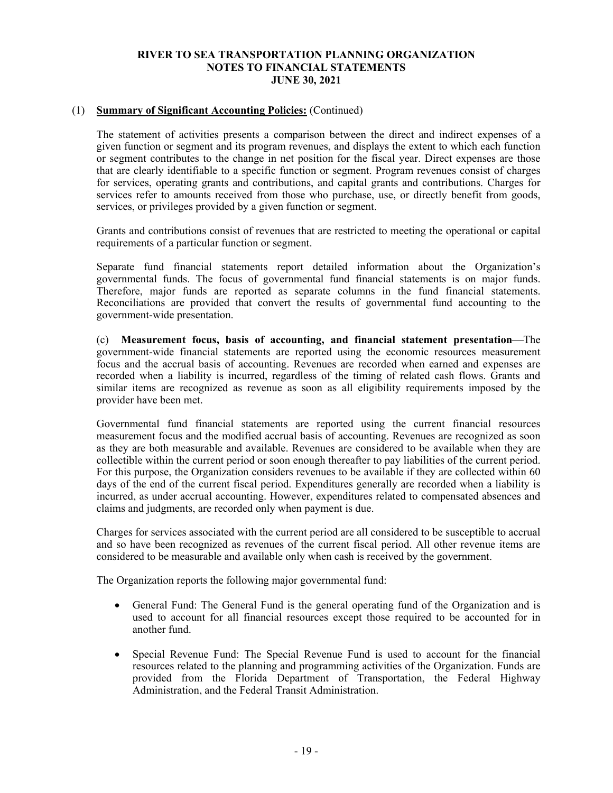## (1) **Summary of Significant Accounting Policies:** (Continued)

The statement of activities presents a comparison between the direct and indirect expenses of a given function or segment and its program revenues, and displays the extent to which each function or segment contributes to the change in net position for the fiscal year. Direct expenses are those that are clearly identifiable to a specific function or segment. Program revenues consist of charges for services, operating grants and contributions, and capital grants and contributions. Charges for services refer to amounts received from those who purchase, use, or directly benefit from goods, services, or privileges provided by a given function or segment.

Grants and contributions consist of revenues that are restricted to meeting the operational or capital requirements of a particular function or segment.

Separate fund financial statements report detailed information about the Organization's governmental funds. The focus of governmental fund financial statements is on major funds. Therefore, major funds are reported as separate columns in the fund financial statements. Reconciliations are provided that convert the results of governmental fund accounting to the government-wide presentation.

(c) **Measurement focus, basis of accounting, and financial statement presentation**The government-wide financial statements are reported using the economic resources measurement focus and the accrual basis of accounting. Revenues are recorded when earned and expenses are recorded when a liability is incurred, regardless of the timing of related cash flows. Grants and similar items are recognized as revenue as soon as all eligibility requirements imposed by the provider have been met.

Governmental fund financial statements are reported using the current financial resources measurement focus and the modified accrual basis of accounting. Revenues are recognized as soon as they are both measurable and available. Revenues are considered to be available when they are collectible within the current period or soon enough thereafter to pay liabilities of the current period. For this purpose, the Organization considers revenues to be available if they are collected within 60 days of the end of the current fiscal period. Expenditures generally are recorded when a liability is incurred, as under accrual accounting. However, expenditures related to compensated absences and claims and judgments, are recorded only when payment is due.

Charges for services associated with the current period are all considered to be susceptible to accrual and so have been recognized as revenues of the current fiscal period. All other revenue items are considered to be measurable and available only when cash is received by the government.

The Organization reports the following major governmental fund:

- General Fund: The General Fund is the general operating fund of the Organization and is used to account for all financial resources except those required to be accounted for in another fund.
- Special Revenue Fund: The Special Revenue Fund is used to account for the financial resources related to the planning and programming activities of the Organization. Funds are provided from the Florida Department of Transportation, the Federal Highway Administration, and the Federal Transit Administration.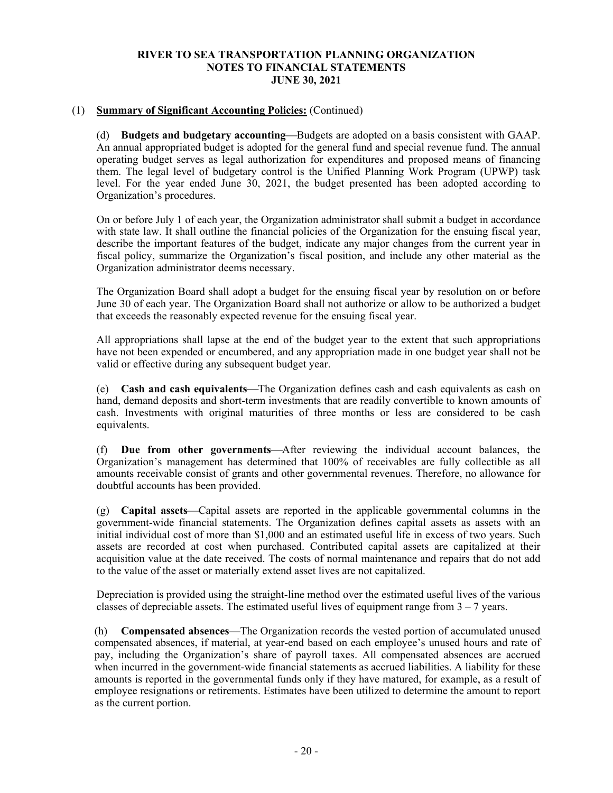## (1) **Summary of Significant Accounting Policies:** (Continued)

(d) **Budgets and budgetary accounting—Budgets are adopted on a basis consistent with GAAP.** An annual appropriated budget is adopted for the general fund and special revenue fund. The annual operating budget serves as legal authorization for expenditures and proposed means of financing them. The legal level of budgetary control is the Unified Planning Work Program (UPWP) task level. For the year ended June 30, 2021, the budget presented has been adopted according to Organization's procedures.

On or before July 1 of each year, the Organization administrator shall submit a budget in accordance with state law. It shall outline the financial policies of the Organization for the ensuing fiscal year, describe the important features of the budget, indicate any major changes from the current year in fiscal policy, summarize the Organization's fiscal position, and include any other material as the Organization administrator deems necessary.

The Organization Board shall adopt a budget for the ensuing fiscal year by resolution on or before June 30 of each year. The Organization Board shall not authorize or allow to be authorized a budget that exceeds the reasonably expected revenue for the ensuing fiscal year.

All appropriations shall lapse at the end of the budget year to the extent that such appropriations have not been expended or encumbered, and any appropriation made in one budget year shall not be valid or effective during any subsequent budget year.

(e) **Cash and cash equivalents—The Organization defines cash and cash equivalents as cash on** hand, demand deposits and short-term investments that are readily convertible to known amounts of cash. Investments with original maturities of three months or less are considered to be cash equivalents.

(f) **Due from other governments**After reviewing the individual account balances, the Organization's management has determined that 100% of receivables are fully collectible as all amounts receivable consist of grants and other governmental revenues. Therefore, no allowance for doubtful accounts has been provided.

(g) **Capital assets**—Capital assets are reported in the applicable governmental columns in the government-wide financial statements. The Organization defines capital assets as assets with an initial individual cost of more than \$1,000 and an estimated useful life in excess of two years. Such assets are recorded at cost when purchased. Contributed capital assets are capitalized at their acquisition value at the date received. The costs of normal maintenance and repairs that do not add to the value of the asset or materially extend asset lives are not capitalized.

Depreciation is provided using the straight-line method over the estimated useful lives of the various classes of depreciable assets. The estimated useful lives of equipment range from  $3 - 7$  years.

**Compensated absences—The Organization records the vested portion of accumulated unused** compensated absences, if material, at year-end based on each employee's unused hours and rate of pay, including the Organization's share of payroll taxes. All compensated absences are accrued when incurred in the government-wide financial statements as accrued liabilities. A liability for these amounts is reported in the governmental funds only if they have matured, for example, as a result of employee resignations or retirements. Estimates have been utilized to determine the amount to report as the current portion.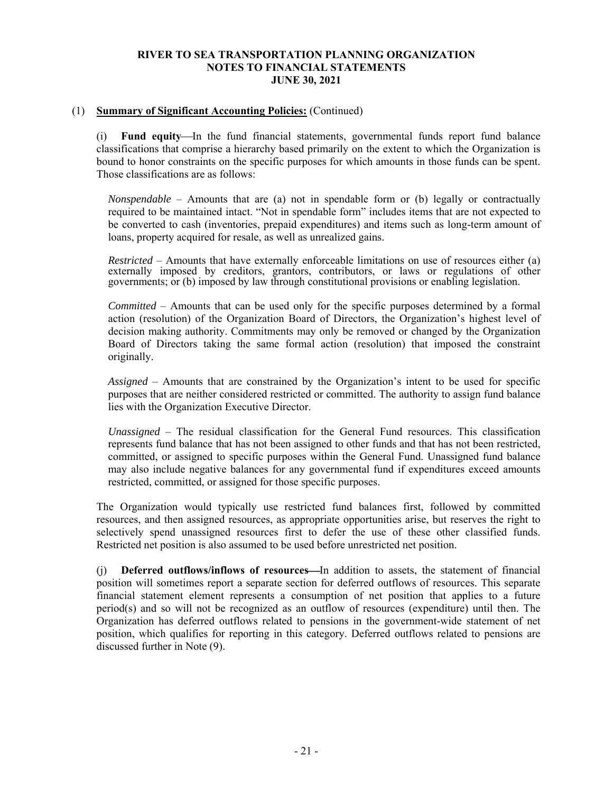## (1) **Summary of Significant Accounting Policies:** (Continued)

(i) **Fund equity—In** the fund financial statements, governmental funds report fund balance classifications that comprise a hierarchy based primarily on the extent to which the Organization is bound to honor constraints on the specific purposes for which amounts in those funds can be spent. Those classifications are as follows:

*Nonspendable* – Amounts that are (a) not in spendable form or (b) legally or contractually required to be maintained intact. "Not in spendable form" includes items that are not expected to be converted to cash (inventories, prepaid expenditures) and items such as long-term amount of loans, property acquired for resale, as well as unrealized gains.

*Restricted* – Amounts that have externally enforceable limitations on use of resources either (a) externally imposed by creditors, grantors, contributors, or laws or regulations of other governments; or (b) imposed by law through constitutional provisions or enabling legislation.

*Committed* – Amounts that can be used only for the specific purposes determined by a formal action (resolution) of the Organization Board of Directors, the Organization's highest level of decision making authority. Commitments may only be removed or changed by the Organization Board of Directors taking the same formal action (resolution) that imposed the constraint originally.

*Assigned* – Amounts that are constrained by the Organization's intent to be used for specific purposes that are neither considered restricted or committed. The authority to assign fund balance lies with the Organization Executive Director.

*Unassigned* – The residual classification for the General Fund resources. This classification represents fund balance that has not been assigned to other funds and that has not been restricted, committed, or assigned to specific purposes within the General Fund. Unassigned fund balance may also include negative balances for any governmental fund if expenditures exceed amounts restricted, committed, or assigned for those specific purposes.

The Organization would typically use restricted fund balances first, followed by committed resources, and then assigned resources, as appropriate opportunities arise, but reserves the right to selectively spend unassigned resources first to defer the use of these other classified funds. Restricted net position is also assumed to be used before unrestricted net position.

(i) **Deferred outflows/inflows of resources**—In addition to assets, the statement of financial position will sometimes report a separate section for deferred outflows of resources. This separate financial statement element represents a consumption of net position that applies to a future period(s) and so will not be recognized as an outflow of resources (expenditure) until then. The Organization has deferred outflows related to pensions in the government-wide statement of net position, which qualifies for reporting in this category. Deferred outflows related to pensions are discussed further in Note (9).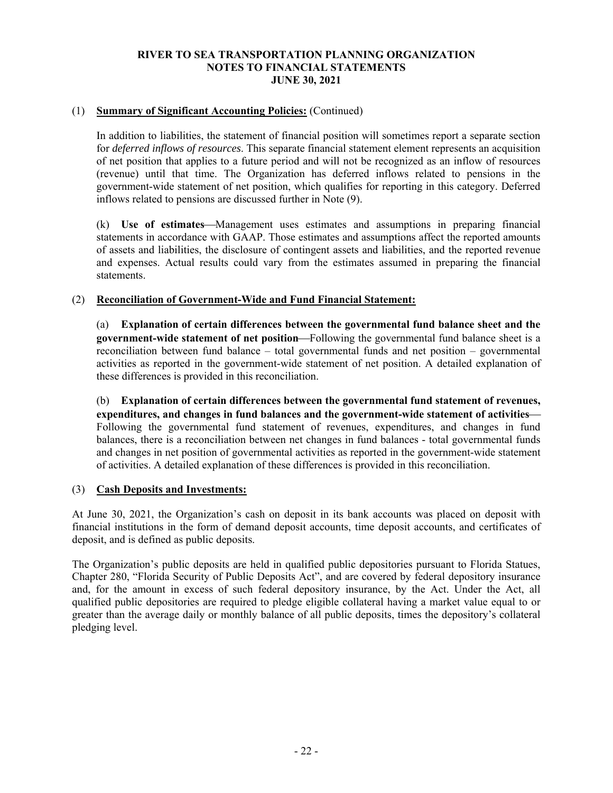## (1) **Summary of Significant Accounting Policies:** (Continued)

In addition to liabilities, the statement of financial position will sometimes report a separate section for *deferred inflows of resources*. This separate financial statement element represents an acquisition of net position that applies to a future period and will not be recognized as an inflow of resources (revenue) until that time. The Organization has deferred inflows related to pensions in the government-wide statement of net position, which qualifies for reporting in this category. Deferred inflows related to pensions are discussed further in Note (9).

(k) **Use of estimates**Management uses estimates and assumptions in preparing financial statements in accordance with GAAP. Those estimates and assumptions affect the reported amounts of assets and liabilities, the disclosure of contingent assets and liabilities, and the reported revenue and expenses. Actual results could vary from the estimates assumed in preparing the financial statements.

## (2) **Reconciliation of Government-Wide and Fund Financial Statement:**

(a) **Explanation of certain differences between the governmental fund balance sheet and the government-wide statement of net position—Following the governmental fund balance sheet is a** reconciliation between fund balance – total governmental funds and net position – governmental activities as reported in the government-wide statement of net position. A detailed explanation of these differences is provided in this reconciliation.

(b) **Explanation of certain differences between the governmental fund statement of revenues, expenditures, and changes in fund balances and the government-wide statement of activities** Following the governmental fund statement of revenues, expenditures, and changes in fund balances, there is a reconciliation between net changes in fund balances - total governmental funds and changes in net position of governmental activities as reported in the government-wide statement of activities. A detailed explanation of these differences is provided in this reconciliation.

## (3) **Cash Deposits and Investments:**

At June 30, 2021, the Organization's cash on deposit in its bank accounts was placed on deposit with financial institutions in the form of demand deposit accounts, time deposit accounts, and certificates of deposit, and is defined as public deposits.

The Organization's public deposits are held in qualified public depositories pursuant to Florida Statues, Chapter 280, "Florida Security of Public Deposits Act", and are covered by federal depository insurance and, for the amount in excess of such federal depository insurance, by the Act. Under the Act, all qualified public depositories are required to pledge eligible collateral having a market value equal to or greater than the average daily or monthly balance of all public deposits, times the depository's collateral pledging level.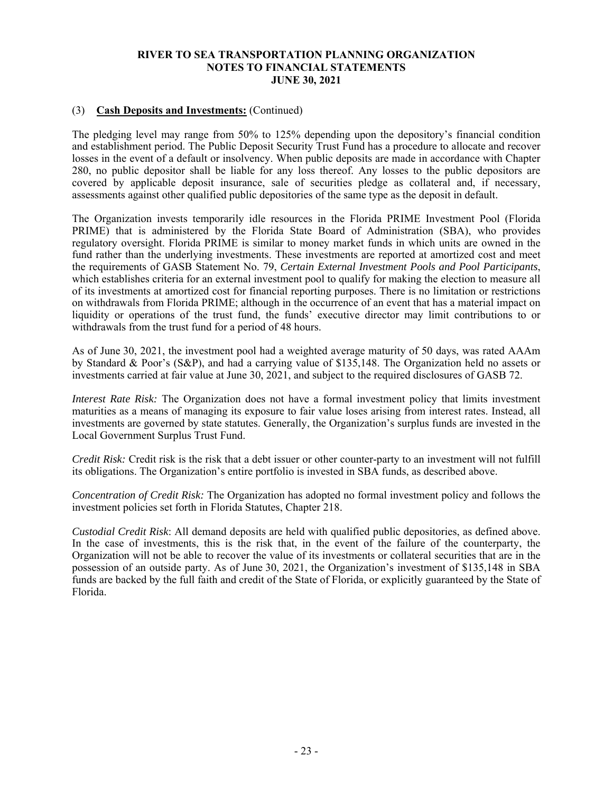## (3) **Cash Deposits and Investments:** (Continued)

The pledging level may range from 50% to 125% depending upon the depository's financial condition and establishment period. The Public Deposit Security Trust Fund has a procedure to allocate and recover losses in the event of a default or insolvency. When public deposits are made in accordance with Chapter 280, no public depositor shall be liable for any loss thereof. Any losses to the public depositors are covered by applicable deposit insurance, sale of securities pledge as collateral and, if necessary, assessments against other qualified public depositories of the same type as the deposit in default.

The Organization invests temporarily idle resources in the Florida PRIME Investment Pool (Florida PRIME) that is administered by the Florida State Board of Administration (SBA), who provides regulatory oversight. Florida PRIME is similar to money market funds in which units are owned in the fund rather than the underlying investments. These investments are reported at amortized cost and meet the requirements of GASB Statement No. 79, *Certain External Investment Pools and Pool Participants*, which establishes criteria for an external investment pool to qualify for making the election to measure all of its investments at amortized cost for financial reporting purposes. There is no limitation or restrictions on withdrawals from Florida PRIME; although in the occurrence of an event that has a material impact on liquidity or operations of the trust fund, the funds' executive director may limit contributions to or withdrawals from the trust fund for a period of 48 hours.

As of June 30, 2021, the investment pool had a weighted average maturity of 50 days, was rated AAAm by Standard & Poor's (S&P), and had a carrying value of \$135,148. The Organization held no assets or investments carried at fair value at June 30, 2021, and subject to the required disclosures of GASB 72.

*Interest Rate Risk:* The Organization does not have a formal investment policy that limits investment maturities as a means of managing its exposure to fair value loses arising from interest rates. Instead, all investments are governed by state statutes. Generally, the Organization's surplus funds are invested in the Local Government Surplus Trust Fund.

*Credit Risk:* Credit risk is the risk that a debt issuer or other counter-party to an investment will not fulfill its obligations. The Organization's entire portfolio is invested in SBA funds, as described above.

*Concentration of Credit Risk:* The Organization has adopted no formal investment policy and follows the investment policies set forth in Florida Statutes, Chapter 218.

*Custodial Credit Risk*: All demand deposits are held with qualified public depositories, as defined above. In the case of investments, this is the risk that, in the event of the failure of the counterparty, the Organization will not be able to recover the value of its investments or collateral securities that are in the possession of an outside party. As of June 30, 2021, the Organization's investment of \$135,148 in SBA funds are backed by the full faith and credit of the State of Florida, or explicitly guaranteed by the State of Florida.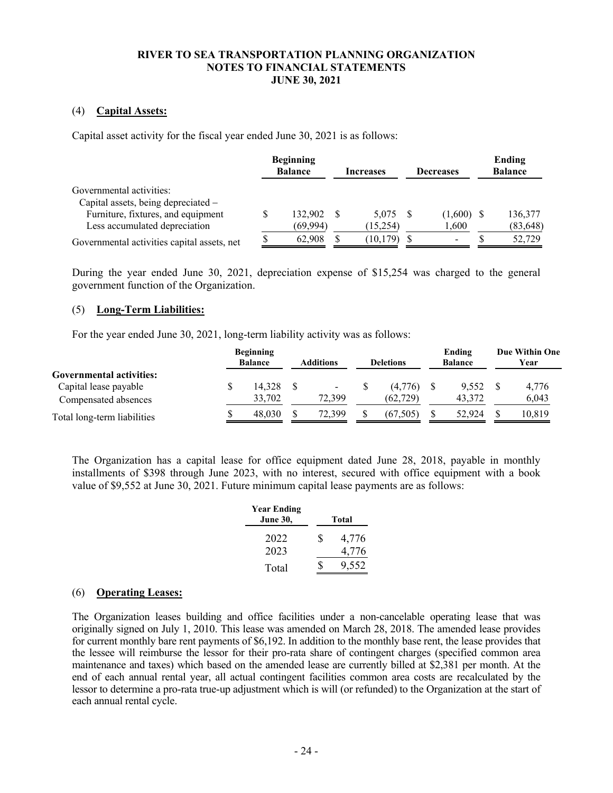### (4) **Capital Assets:**

Capital asset activity for the fiscal year ended June 30, 2021 is as follows:

|                                             | <b>Beginning</b><br><b>Balance</b> | Increases | <b>Decreases</b>         | Ending<br><b>Balance</b> |
|---------------------------------------------|------------------------------------|-----------|--------------------------|--------------------------|
| Governmental activities:                    |                                    |           |                          |                          |
| Capital assets, being depreciated -         |                                    |           |                          |                          |
| Furniture, fixtures, and equipment          | 132,902                            | 5,075 \$  | $(1,600)$ \$             | 136,377                  |
| Less accumulated depreciation               | (69, 994)                          | (15,254)  | 1,600                    | (83, 648)                |
| Governmental activities capital assets, net | 62,908                             | (10, 179) | $\overline{\phantom{a}}$ | 52,729                   |

During the year ended June 30, 2021, depreciation expense of \$15,254 was charged to the general government function of the Organization.

#### (5) **Long-Term Liabilities:**

For the year ended June 30, 2021, long-term liability activity was as follows:

|                                                                           | <b>Beginning</b><br><b>Balance</b> | <b>Additions</b>                   | <b>Deletions</b>     | Ending<br><b>Balance</b> | Due Within One<br>Year |
|---------------------------------------------------------------------------|------------------------------------|------------------------------------|----------------------|--------------------------|------------------------|
| Governmental activities:<br>Capital lease payable<br>Compensated absences | 14.328<br>33,702                   | $\overline{\phantom{a}}$<br>72,399 | (4.776)<br>(62, 729) | 9.552<br>43,372          | 4,776<br>6,043         |
| Total long-term liabilities                                               | 48,030                             | 72,399                             | (67.505)             | 52,924                   | 10.819                 |

The Organization has a capital lease for office equipment dated June 28, 2018, payable in monthly installments of \$398 through June 2023, with no interest, secured with office equipment with a book value of \$9,552 at June 30, 2021. Future minimum capital lease payments are as follows:

| <b>Year Ending</b><br><b>June 30,</b> |   | <b>Total</b> |
|---------------------------------------|---|--------------|
| 2022                                  | S | 4,776        |
| 2023                                  |   | 4,776        |
| Total                                 | К | 9,552        |

#### (6) **Operating Leases:**

The Organization leases building and office facilities under a non-cancelable operating lease that was originally signed on July 1, 2010. This lease was amended on March 28, 2018. The amended lease provides for current monthly bare rent payments of \$6,192. In addition to the monthly base rent, the lease provides that the lessee will reimburse the lessor for their pro-rata share of contingent charges (specified common area maintenance and taxes) which based on the amended lease are currently billed at \$2,381 per month. At the end of each annual rental year, all actual contingent facilities common area costs are recalculated by the lessor to determine a pro-rata true-up adjustment which is will (or refunded) to the Organization at the start of each annual rental cycle.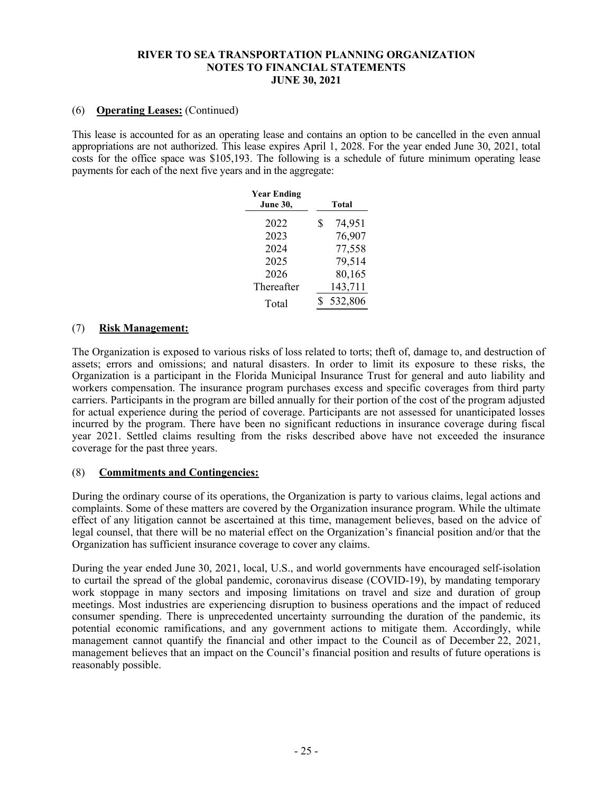## (6) **Operating Leases:** (Continued)

This lease is accounted for as an operating lease and contains an option to be cancelled in the even annual appropriations are not authorized. This lease expires April 1, 2028. For the year ended June 30, 2021, total costs for the office space was \$105,193. The following is a schedule of future minimum operating lease payments for each of the next five years and in the aggregate:

| <b>Year Ending</b><br>June 30, | <b>Total</b> |
|--------------------------------|--------------|
| 2022                           | \$<br>74,951 |
| 2023                           | 76,907       |
| 2024                           | 77,558       |
| 2025                           | 79,514       |
| 2026                           | 80,165       |
| Thereafter                     | 143,711      |
| Total                          | 532,806      |

## (7) **Risk Management:**

The Organization is exposed to various risks of loss related to torts; theft of, damage to, and destruction of assets; errors and omissions; and natural disasters. In order to limit its exposure to these risks, the Organization is a participant in the Florida Municipal Insurance Trust for general and auto liability and workers compensation. The insurance program purchases excess and specific coverages from third party carriers. Participants in the program are billed annually for their portion of the cost of the program adjusted for actual experience during the period of coverage. Participants are not assessed for unanticipated losses incurred by the program. There have been no significant reductions in insurance coverage during fiscal year 2021. Settled claims resulting from the risks described above have not exceeded the insurance coverage for the past three years.

## (8) **Commitments and Contingencies:**

During the ordinary course of its operations, the Organization is party to various claims, legal actions and complaints. Some of these matters are covered by the Organization insurance program. While the ultimate effect of any litigation cannot be ascertained at this time, management believes, based on the advice of legal counsel, that there will be no material effect on the Organization's financial position and/or that the Organization has sufficient insurance coverage to cover any claims.

During the year ended June 30, 2021, local, U.S., and world governments have encouraged self-isolation to curtail the spread of the global pandemic, coronavirus disease (COVID-19), by mandating temporary work stoppage in many sectors and imposing limitations on travel and size and duration of group meetings. Most industries are experiencing disruption to business operations and the impact of reduced consumer spending. There is unprecedented uncertainty surrounding the duration of the pandemic, its potential economic ramifications, and any government actions to mitigate them. Accordingly, while management cannot quantify the financial and other impact to the Council as of December 22, 2021, management believes that an impact on the Council's financial position and results of future operations is reasonably possible.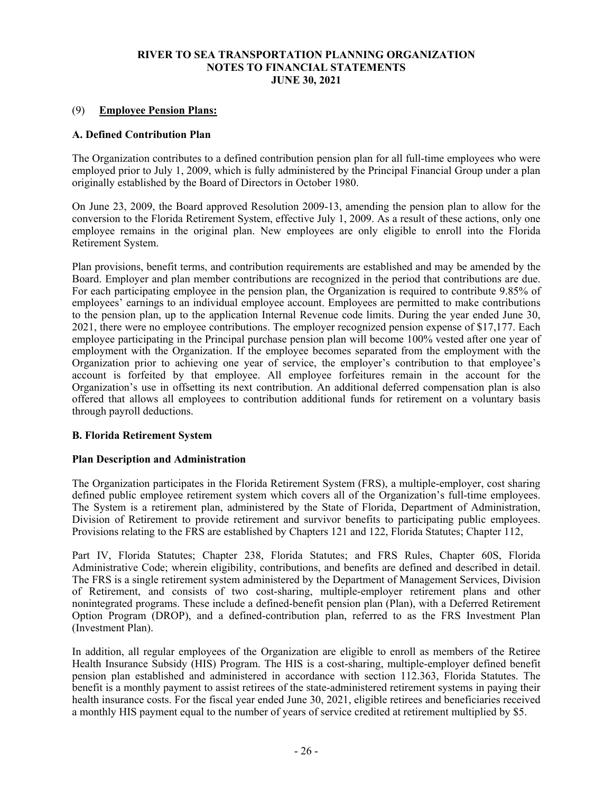## (9) **Employee Pension Plans:**

### **A. Defined Contribution Plan**

The Organization contributes to a defined contribution pension plan for all full-time employees who were employed prior to July 1, 2009, which is fully administered by the Principal Financial Group under a plan originally established by the Board of Directors in October 1980.

On June 23, 2009, the Board approved Resolution 2009-13, amending the pension plan to allow for the conversion to the Florida Retirement System, effective July 1, 2009. As a result of these actions, only one employee remains in the original plan. New employees are only eligible to enroll into the Florida Retirement System.

Plan provisions, benefit terms, and contribution requirements are established and may be amended by the Board. Employer and plan member contributions are recognized in the period that contributions are due. For each participating employee in the pension plan, the Organization is required to contribute 9.85% of employees' earnings to an individual employee account. Employees are permitted to make contributions to the pension plan, up to the application Internal Revenue code limits. During the year ended June 30, 2021, there were no employee contributions. The employer recognized pension expense of \$17,177. Each employee participating in the Principal purchase pension plan will become 100% vested after one year of employment with the Organization. If the employee becomes separated from the employment with the Organization prior to achieving one year of service, the employer's contribution to that employee's account is forfeited by that employee. All employee forfeitures remain in the account for the Organization's use in offsetting its next contribution. An additional deferred compensation plan is also offered that allows all employees to contribution additional funds for retirement on a voluntary basis through payroll deductions.

## **B. Florida Retirement System**

#### **Plan Description and Administration**

The Organization participates in the Florida Retirement System (FRS), a multiple-employer, cost sharing defined public employee retirement system which covers all of the Organization's full-time employees. The System is a retirement plan, administered by the State of Florida, Department of Administration, Division of Retirement to provide retirement and survivor benefits to participating public employees. Provisions relating to the FRS are established by Chapters 121 and 122, Florida Statutes; Chapter 112,

Part IV, Florida Statutes; Chapter 238, Florida Statutes; and FRS Rules, Chapter 60S, Florida Administrative Code; wherein eligibility, contributions, and benefits are defined and described in detail. The FRS is a single retirement system administered by the Department of Management Services, Division of Retirement, and consists of two cost-sharing, multiple-employer retirement plans and other nonintegrated programs. These include a defined-benefit pension plan (Plan), with a Deferred Retirement Option Program (DROP), and a defined-contribution plan, referred to as the FRS Investment Plan (Investment Plan).

In addition, all regular employees of the Organization are eligible to enroll as members of the Retiree Health Insurance Subsidy (HIS) Program. The HIS is a cost-sharing, multiple-employer defined benefit pension plan established and administered in accordance with section 112.363, Florida Statutes. The benefit is a monthly payment to assist retirees of the state-administered retirement systems in paying their health insurance costs. For the fiscal year ended June 30, 2021, eligible retirees and beneficiaries received a monthly HIS payment equal to the number of years of service credited at retirement multiplied by \$5.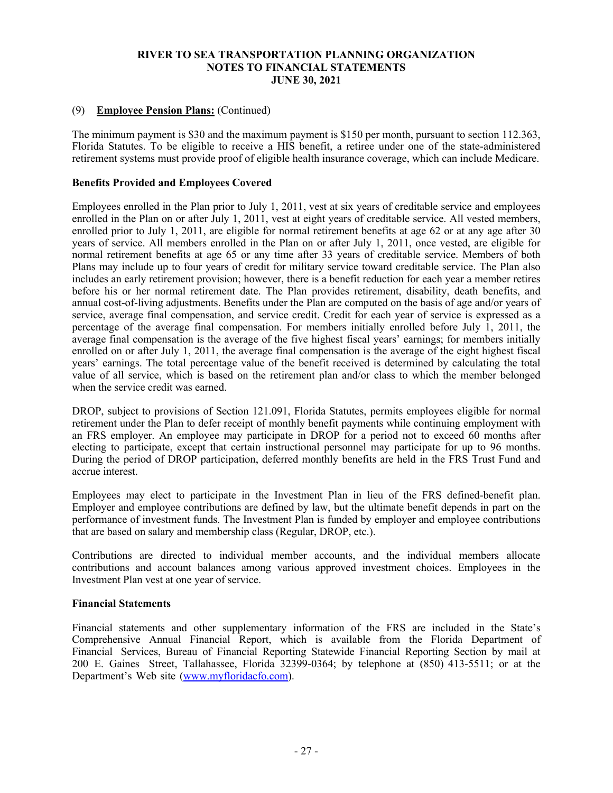## (9) **Employee Pension Plans:** (Continued)

The minimum payment is \$30 and the maximum payment is \$150 per month, pursuant to section 112.363, Florida Statutes. To be eligible to receive a HIS benefit, a retiree under one of the state-administered retirement systems must provide proof of eligible health insurance coverage, which can include Medicare.

## **Benefits Provided and Employees Covered**

Employees enrolled in the Plan prior to July 1, 2011, vest at six years of creditable service and employees enrolled in the Plan on or after July 1, 2011, vest at eight years of creditable service. All vested members, enrolled prior to July 1, 2011, are eligible for normal retirement benefits at age 62 or at any age after 30 years of service. All members enrolled in the Plan on or after July 1, 2011, once vested, are eligible for normal retirement benefits at age 65 or any time after 33 years of creditable service. Members of both Plans may include up to four years of credit for military service toward creditable service. The Plan also includes an early retirement provision; however, there is a benefit reduction for each year a member retires before his or her normal retirement date. The Plan provides retirement, disability, death benefits, and annual cost-of-living adjustments. Benefits under the Plan are computed on the basis of age and/or years of service, average final compensation, and service credit. Credit for each year of service is expressed as a percentage of the average final compensation. For members initially enrolled before July 1, 2011, the average final compensation is the average of the five highest fiscal years' earnings; for members initially enrolled on or after July 1, 2011, the average final compensation is the average of the eight highest fiscal years' earnings. The total percentage value of the benefit received is determined by calculating the total value of all service, which is based on the retirement plan and/or class to which the member belonged when the service credit was earned.

DROP, subject to provisions of Section 121.091, Florida Statutes, permits employees eligible for normal retirement under the Plan to defer receipt of monthly benefit payments while continuing employment with an FRS employer. An employee may participate in DROP for a period not to exceed 60 months after electing to participate, except that certain instructional personnel may participate for up to 96 months. During the period of DROP participation, deferred monthly benefits are held in the FRS Trust Fund and accrue interest.

Employees may elect to participate in the Investment Plan in lieu of the FRS defined-benefit plan. Employer and employee contributions are defined by law, but the ultimate benefit depends in part on the performance of investment funds. The Investment Plan is funded by employer and employee contributions that are based on salary and membership class (Regular, DROP, etc.).

Contributions are directed to individual member accounts, and the individual members allocate contributions and account balances among various approved investment choices. Employees in the Investment Plan vest at one year of service.

## **Financial Statements**

Financial statements and other supplementary information of the FRS are included in the State's Comprehensive Annual Financial Report, which is available from the Florida Department of Financial Services, Bureau of Financial Reporting Statewide Financial Reporting Section by mail at 200 E. Gaines Street, Tallahassee, Florida 32399-0364; by telephone at (850) 413-5511; or at the Department's Web site (www.myfloridacfo.com).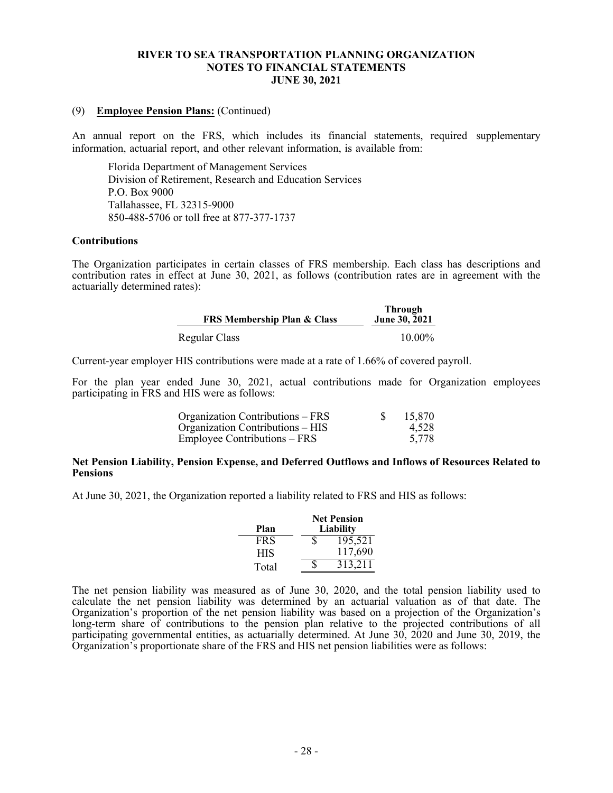### (9) **Employee Pension Plans:** (Continued)

An annual report on the FRS, which includes its financial statements, required supplementary information, actuarial report, and other relevant information, is available from:

Florida Department of Management Services Division of Retirement, Research and Education Services P.O. Box 9000 Tallahassee, FL 32315-9000 850-488-5706 or toll free at 877-377-1737

#### **Contributions**

The Organization participates in certain classes of FRS membership. Each class has descriptions and contribution rates in effect at June 30, 2021, as follows (contribution rates are in agreement with the actuarially determined rates):

| <b>FRS Membership Plan &amp; Class</b> | Through<br><b>June 30, 2021</b> |
|----------------------------------------|---------------------------------|
| Regular Class                          | 10.00%                          |

Current-year employer HIS contributions were made at a rate of 1.66% of covered payroll.

For the plan year ended June 30, 2021, actual contributions made for Organization employees participating in FRS and HIS were as follows:

| Organization Contributions – FRS | 15,870 |
|----------------------------------|--------|
| Organization Contributions – HIS | 4,528  |
| Employee Contributions – FRS     | 5,778  |

#### **Net Pension Liability, Pension Expense, and Deferred Outflows and Inflows of Resources Related to Pensions**

At June 30, 2021, the Organization reported a liability related to FRS and HIS as follows:

| Plan       | <b>Net Pension</b><br>Liability |
|------------|---------------------------------|
| <b>FRS</b> | 195,521                         |
| <b>HIS</b> | 117,690                         |
| Total      | 313,211                         |

The net pension liability was measured as of June 30, 2020, and the total pension liability used to calculate the net pension liability was determined by an actuarial valuation as of that date. The Organization's proportion of the net pension liability was based on a projection of the Organization's long-term share of contributions to the pension plan relative to the projected contributions of all participating governmental entities, as actuarially determined. At June 30, 2020 and June 30, 2019, the Organization's proportionate share of the FRS and HIS net pension liabilities were as follows: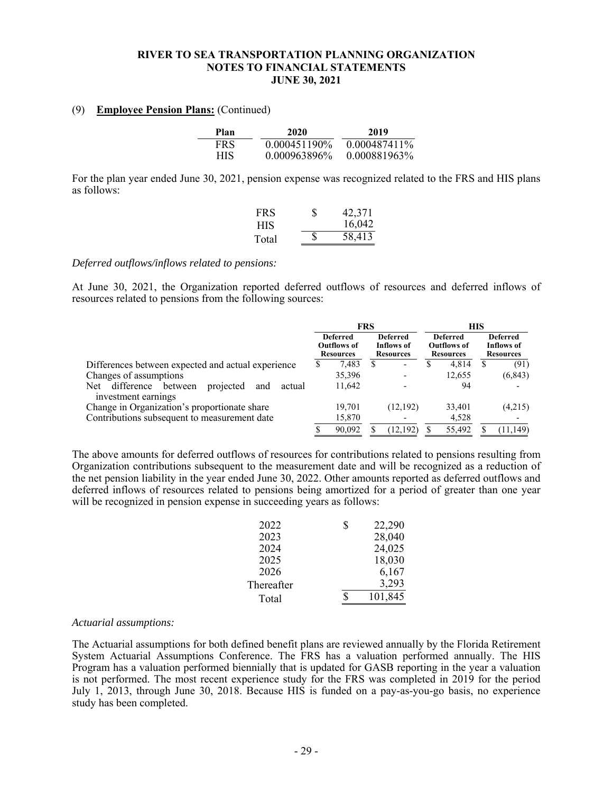## (9) **Employee Pension Plans:** (Continued)

| Plan       | 2020            | 2019            |
|------------|-----------------|-----------------|
| FR S       | $0.000451190\%$ | $0.000487411\%$ |
| <b>HIS</b> | 0.000963896%    | 0.000881963%    |

For the plan year ended June 30, 2021, pension expense was recognized related to the FRS and HIS plans as follows:

| <b>FRS</b> | 42,371 |
|------------|--------|
| <b>HIS</b> | 16,042 |
| Total      | 58,413 |

*Deferred outflows/inflows related to pensions:* 

At June 30, 2021, the Organization reported deferred outflows of resources and deferred inflows of resources related to pensions from the following sources:

|                                                                                | <b>FRS</b> |                                                           |   |                                                   | <b>HIS</b> |                                                           |                                                          |           |  |  |  |
|--------------------------------------------------------------------------------|------------|-----------------------------------------------------------|---|---------------------------------------------------|------------|-----------------------------------------------------------|----------------------------------------------------------|-----------|--|--|--|
|                                                                                |            | <b>Deferred</b><br><b>Outflows of</b><br><b>Resources</b> |   | <b>Deferred</b><br>Inflows of<br><b>Resources</b> |            | <b>Deferred</b><br><b>Outflows of</b><br><b>Resources</b> | <b>Deferred</b><br><b>Inflows of</b><br><b>Resources</b> |           |  |  |  |
| Differences between expected and actual experience                             | S          | 7,483                                                     | S | $\qquad \qquad \blacksquare$                      |            | 4,814                                                     |                                                          | (91)      |  |  |  |
| Changes of assumptions                                                         |            | 35,396                                                    |   |                                                   |            | 12,655                                                    |                                                          | (6, 843)  |  |  |  |
| Net<br>difference between<br>projected<br>actual<br>and<br>investment earnings |            | 11,642                                                    |   |                                                   |            | 94                                                        |                                                          |           |  |  |  |
| Change in Organization's proportionate share                                   |            | 19,701                                                    |   | (12, 192)                                         |            | 33,401                                                    |                                                          | (4,215)   |  |  |  |
| Contributions subsequent to measurement date                                   |            | 15,870                                                    |   |                                                   |            | 4,528                                                     |                                                          |           |  |  |  |
|                                                                                |            | 90.092                                                    |   | (12,192)                                          |            | 55.492                                                    |                                                          | (11, 149) |  |  |  |

The above amounts for deferred outflows of resources for contributions related to pensions resulting from Organization contributions subsequent to the measurement date and will be recognized as a reduction of the net pension liability in the year ended June 30, 2022. Other amounts reported as deferred outflows and deferred inflows of resources related to pensions being amortized for a period of greater than one year will be recognized in pension expense in succeeding years as follows:

| 2022       | \$<br>22,290 |
|------------|--------------|
| 2023       | 28,040       |
| 2024       | 24,025       |
| 2025       | 18,030       |
| 2026       | 6,167        |
| Thereafter | 3,293        |
| Total      | 101,845      |

#### *Actuarial assumptions:*

The Actuarial assumptions for both defined benefit plans are reviewed annually by the Florida Retirement System Actuarial Assumptions Conference. The FRS has a valuation performed annually. The HIS Program has a valuation performed biennially that is updated for GASB reporting in the year a valuation is not performed. The most recent experience study for the FRS was completed in 2019 for the period July 1, 2013, through June 30, 2018. Because HIS is funded on a pay-as-you-go basis, no experience study has been completed.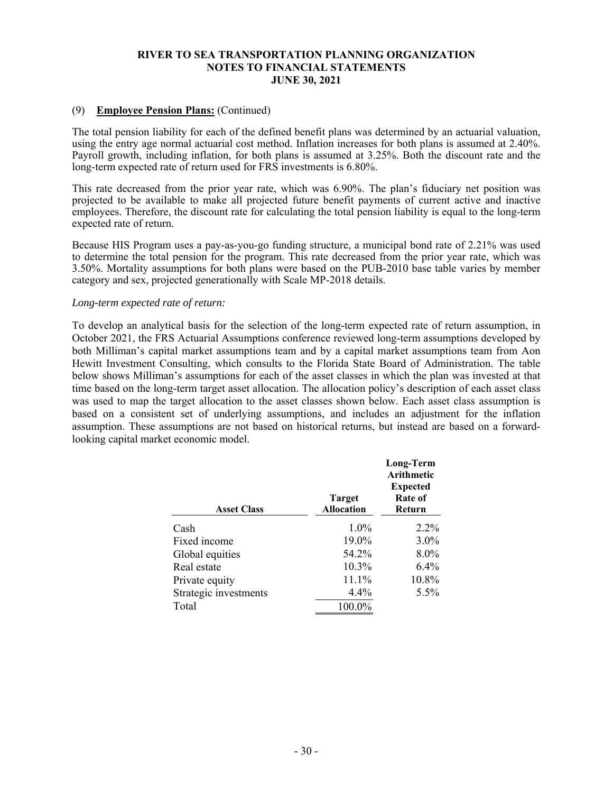## (9) **Employee Pension Plans:** (Continued)

The total pension liability for each of the defined benefit plans was determined by an actuarial valuation, using the entry age normal actuarial cost method. Inflation increases for both plans is assumed at 2.40%. Payroll growth, including inflation, for both plans is assumed at 3.25%. Both the discount rate and the long-term expected rate of return used for FRS investments is 6.80%.

This rate decreased from the prior year rate, which was 6.90%. The plan's fiduciary net position was projected to be available to make all projected future benefit payments of current active and inactive employees. Therefore, the discount rate for calculating the total pension liability is equal to the long-term expected rate of return.

Because HIS Program uses a pay-as-you-go funding structure, a municipal bond rate of 2.21% was used to determine the total pension for the program. This rate decreased from the prior year rate, which was 3.50%. Mortality assumptions for both plans were based on the PUB-2010 base table varies by member category and sex, projected generationally with Scale MP-2018 details.

### *Long-term expected rate of return:*

To develop an analytical basis for the selection of the long-term expected rate of return assumption, in October 2021, the FRS Actuarial Assumptions conference reviewed long-term assumptions developed by both Milliman's capital market assumptions team and by a capital market assumptions team from Aon Hewitt Investment Consulting, which consults to the Florida State Board of Administration. The table below shows Milliman's assumptions for each of the asset classes in which the plan was invested at that time based on the long-term target asset allocation. The allocation policy's description of each asset class was used to map the target allocation to the asset classes shown below. Each asset class assumption is based on a consistent set of underlying assumptions, and includes an adjustment for the inflation assumption. These assumptions are not based on historical returns, but instead are based on a forwardlooking capital market economic model.

| <b>Asset Class</b>    | <b>Target</b><br><b>Allocation</b> | Long-Term<br><b>Arithmetic</b><br><b>Expected</b><br>Rate of<br>Return |
|-----------------------|------------------------------------|------------------------------------------------------------------------|
| Cash                  | $1.0\%$                            | $2.2\%$                                                                |
| Fixed income          | 19.0%                              | $3.0\%$                                                                |
| Global equities       | 54.2%                              | $8.0\%$                                                                |
| Real estate           | 10.3%                              | $6.4\%$                                                                |
| Private equity        | 11.1%                              | 10.8%                                                                  |
| Strategic investments | 4.4%                               | 5.5%                                                                   |
| Total                 | 100.0%                             |                                                                        |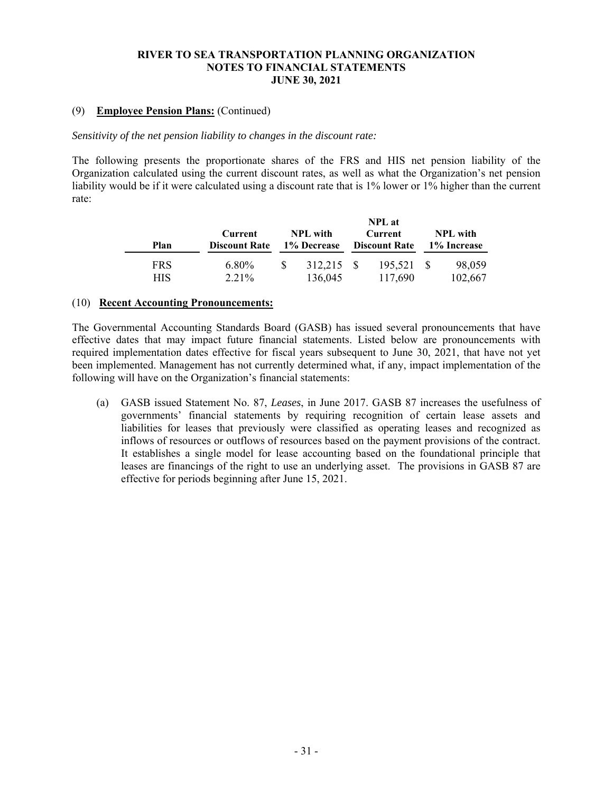### (9) **Employee Pension Plans:** (Continued)

### *Sensitivity of the net pension liability to changes in the discount rate:*

The following presents the proportionate shares of the FRS and HIS net pension liability of the Organization calculated using the current discount rates, as well as what the Organization's net pension liability would be if it were calculated using a discount rate that is 1% lower or 1% higher than the current rate:

| Plan                     | Current<br><b>Discount Rate</b> | <b>NPL</b> with<br>1% Decrease |                    |               | <b>NPL</b> at<br><b>Current</b><br><b>Discount Rate</b> | <b>NPL</b> with<br>1% Increase |                   |  |  |
|--------------------------|---------------------------------|--------------------------------|--------------------|---------------|---------------------------------------------------------|--------------------------------|-------------------|--|--|
| <b>FRS</b><br><b>HIS</b> | $6.80\%$<br>$2.21\%$            | S.                             | 312,215<br>136,045 | $\mathcal{S}$ | 195,521<br>117,690                                      |                                | 98,059<br>102,667 |  |  |

## (10) **Recent Accounting Pronouncements:**

The Governmental Accounting Standards Board (GASB) has issued several pronouncements that have effective dates that may impact future financial statements. Listed below are pronouncements with required implementation dates effective for fiscal years subsequent to June 30, 2021, that have not yet been implemented. Management has not currently determined what, if any, impact implementation of the following will have on the Organization's financial statements:

(a) GASB issued Statement No. 87, *Leases*, in June 2017. GASB 87 increases the usefulness of governments' financial statements by requiring recognition of certain lease assets and liabilities for leases that previously were classified as operating leases and recognized as inflows of resources or outflows of resources based on the payment provisions of the contract. It establishes a single model for lease accounting based on the foundational principle that leases are financings of the right to use an underlying asset. The provisions in GASB 87 are effective for periods beginning after June 15, 2021.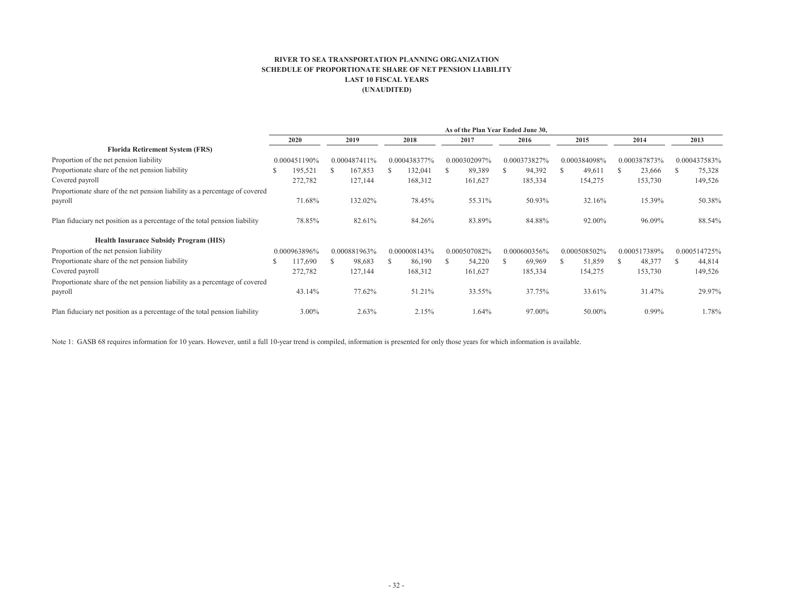#### **RIVER TO SEA TRANSPORTATION PLANNING ORGANIZATIONSCHEDULE OF PROPORTIONATE SHARE OF NET PENSION LIABILITY LAST 10 FISCAL YEARS(UNAUDITED)**

|                                                                                        | As of the Plan Year Ended June 30. |              |   |              |    |              |  |              |    |              |              |   |              |    |              |
|----------------------------------------------------------------------------------------|------------------------------------|--------------|---|--------------|----|--------------|--|--------------|----|--------------|--------------|---|--------------|----|--------------|
|                                                                                        |                                    | 2020         |   | 2019         |    | 2018         |  | 2017         |    | 2016         | 2015         |   | 2014         |    | 2013         |
| <b>Florida Retirement System (FRS)</b>                                                 |                                    |              |   |              |    |              |  |              |    |              |              |   |              |    |              |
| Proportion of the net pension liability                                                |                                    | 0.000451190% |   | 0.000487411% |    | 0.000438377% |  | 0.000302097% |    | 0.000373827% | 0.000384098% |   | 0.000387873% |    | 0.000437583% |
| Proportionate share of the net pension liability                                       |                                    | 195,521      | S | 167,853      |    | 132,041      |  | 89,389       | S. | 94,392       | 49,611       | S | 23,666       | D. | 75,328       |
| Covered payroll                                                                        |                                    | 272,782      |   | 127,144      |    | 168,312      |  | 161,627      |    | 185,334      | 154,275      |   | 153,730      |    | 149,526      |
| Proportionate share of the net pension liability as a percentage of covered<br>payroll |                                    | 71.68%       |   | 132.02%      |    | 78.45%       |  | 55.31%       |    | 50.93%       | 32.16%       |   | 15.39%       |    | 50.38%       |
| Plan fiduciary net position as a percentage of the total pension liability             |                                    | 78.85%       |   | 82.61%       |    | 84.26%       |  | 83.89%       |    | 84.88%       | 92.00%       |   | 96.09%       |    | 88.54%       |
| <b>Health Insurance Subsidy Program (HIS)</b>                                          |                                    |              |   |              |    |              |  |              |    |              |              |   |              |    |              |
| Proportion of the net pension liability                                                |                                    | 0.000963896% |   | 0.000881963% |    | 0.000008143% |  | 0.000507082% |    | 0.000600356% | 0.000508502% |   | 0.000517389% |    | 0.000514725% |
| Proportionate share of the net pension liability                                       |                                    | 117,690      | S | 98,683       | -S | 86,190       |  | 54,220       | S. | 69,969       | 51,859       | S | 48,377       | -S | 44,814       |
| Covered payroll                                                                        |                                    | 272,782      |   | 127,144      |    | 168,312      |  | 161,627      |    | 185,334      | 154,275      |   | 153,730      |    | 149,526      |
| Proportionate share of the net pension liability as a percentage of covered<br>payroll |                                    | 43.14%       |   | 77.62%       |    | 51.21%       |  | 33.55%       |    | 37.75%       | 33.61%       |   | 31.47%       |    | 29.97%       |
| Plan fiduciary net position as a percentage of the total pension liability             |                                    | 3.00%        |   | 2.63%        |    | 2.15%        |  | 1.64%        |    | 97.00%       | 50.00%       |   | $0.99\%$     |    | 1.78%        |

Note 1: GASB 68 requires information for 10 years. However, until a full 10-year trend is compiled, information is presented for only those years for which information is available.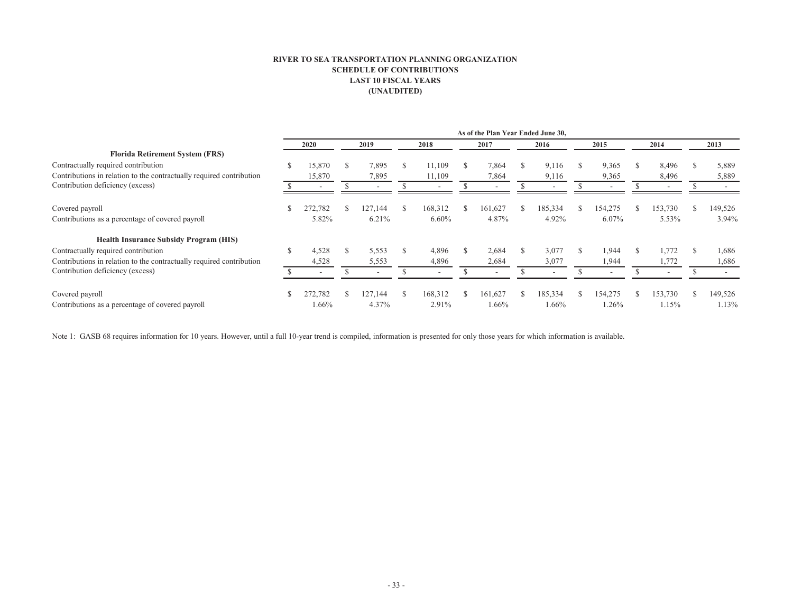#### **RIVER TO SEA TRANSPORTATION PLANNING ORGANIZATION SCHEDULE OF CONTRIBUTIONS LAST 10 FISCAL YEARS(UNAUDITED)**

|                                                                      | As of the Plan Year Ended June 30, |         |  |         |  |          |         |    |         |    |          |         |  |         |
|----------------------------------------------------------------------|------------------------------------|---------|--|---------|--|----------|---------|----|---------|----|----------|---------|--|---------|
|                                                                      |                                    | 2020    |  | 2019    |  | 2018     | 2017    |    | 2016    |    | 2015     | 2014    |  | 2013    |
| <b>Florida Retirement System (FRS)</b>                               |                                    |         |  |         |  |          |         |    |         |    |          |         |  |         |
| Contractually required contribution                                  |                                    | 15,870  |  | 7,895   |  | 11,109   | 7,864   | S. | 9,116   | S  | 9,365    | 8,496   |  | 5,889   |
| Contributions in relation to the contractually required contribution |                                    | 15,870  |  | 7,895   |  | 11,109   | 7,864   |    | 9,116   |    | 9,365    | 8,496   |  | 5,889   |
| Contribution deficiency (excess)                                     |                                    |         |  |         |  |          |         |    |         |    |          |         |  |         |
| Covered payroll                                                      |                                    | 272,782 |  | 127,144 |  | 168,312  | 161,627 |    | 185,334 |    | 154,275  | 53,730  |  | 149,526 |
| Contributions as a percentage of covered payroll                     |                                    | 5.82%   |  | 6.21%   |  | $6.60\%$ | 4.87%   |    | 4.92%   |    | $6.07\%$ | 5.53%   |  | 3.94%   |
| <b>Health Insurance Subsidy Program (HIS)</b>                        |                                    |         |  |         |  |          |         |    |         |    |          |         |  |         |
| Contractually required contribution                                  |                                    | 4,528   |  | 5,553   |  | 4,896    | 2,684   | S. | 3,077   | £. | 1.944    | 1.772   |  | 1,686   |
| Contributions in relation to the contractually required contribution |                                    | 4,528   |  | 5,553   |  | 4,896    | 2,684   |    | 3,077   |    | 1,944    | 1,772   |  | 1,686   |
| Contribution deficiency (excess)                                     |                                    |         |  |         |  |          |         |    |         |    |          |         |  |         |
| Covered payroll                                                      |                                    | 272.782 |  | 127.144 |  | 168,312  | 161,627 | S. | 185,334 |    | 154.275  | 153,730 |  | 149,526 |
| Contributions as a percentage of covered payroll                     |                                    | 1.66%   |  | 4.37%   |  | 2.91%    | 1.66%   |    | 1.66%   |    | .26%     | 1.15%   |  | 1.13%   |

Note 1: GASB 68 requires information for 10 years. However, until a full 10-year trend is compiled, information is presented for only those years for which information is available.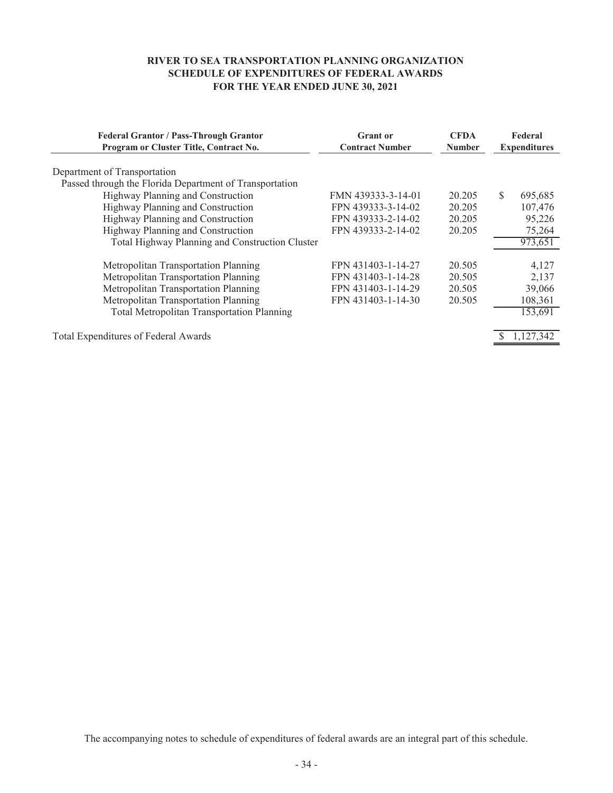## **RIVER TO SEA TRANSPORTATION PLANNING ORGANIZATION SCHEDULE OF EXPENDITURES OF FEDERAL AWARDS FOR THE YEAR ENDED JUNE 30, 2021**

| <b>Federal Grantor / Pass-Through Grantor</b><br>Program or Cluster Title, Contract No. | <b>Grant</b> or<br><b>Contract Number</b> | <b>CFDA</b><br><b>Number</b> | Federal<br><b>Expenditures</b> |  |  |  |
|-----------------------------------------------------------------------------------------|-------------------------------------------|------------------------------|--------------------------------|--|--|--|
| Department of Transportation                                                            |                                           |                              |                                |  |  |  |
| Passed through the Florida Department of Transportation                                 |                                           |                              |                                |  |  |  |
| Highway Planning and Construction                                                       | FMN 439333-3-14-01                        | 20.205                       | <sup>\$</sup><br>695,685       |  |  |  |
| Highway Planning and Construction                                                       | FPN 439333-3-14-02                        | 20.205                       | 107,476                        |  |  |  |
| Highway Planning and Construction                                                       | FPN 439333-2-14-02                        | 20.205                       | 95,226                         |  |  |  |
| Highway Planning and Construction                                                       | FPN 439333-2-14-02                        | 20.205                       | 75,264                         |  |  |  |
| Total Highway Planning and Construction Cluster                                         |                                           |                              | 973,651                        |  |  |  |
|                                                                                         |                                           | 20.505                       |                                |  |  |  |
| Metropolitan Transportation Planning                                                    | FPN 431403-1-14-27                        |                              | 4,127                          |  |  |  |
| Metropolitan Transportation Planning                                                    | FPN 431403-1-14-28                        | 20.505                       | 2,137                          |  |  |  |
| Metropolitan Transportation Planning                                                    | FPN 431403-1-14-29                        | 20.505                       | 39,066                         |  |  |  |
| Metropolitan Transportation Planning                                                    | FPN 431403-1-14-30                        | 20.505                       | 108,361                        |  |  |  |
| <b>Total Metropolitan Transportation Planning</b>                                       |                                           |                              | 153,691                        |  |  |  |
| <b>Total Expenditures of Federal Awards</b>                                             |                                           |                              |                                |  |  |  |
|                                                                                         |                                           |                              | 1,127,342                      |  |  |  |

The accompanying notes to schedule of expenditures of federal awards are an integral part of this schedule.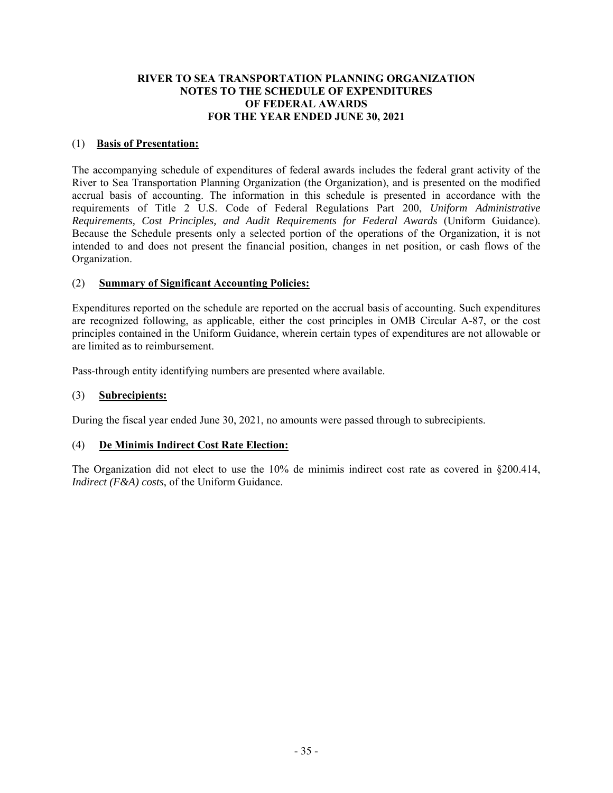## **RIVER TO SEA TRANSPORTATION PLANNING ORGANIZATION NOTES TO THE SCHEDULE OF EXPENDITURES OF FEDERAL AWARDS FOR THE YEAR ENDED JUNE 30, 2021**

## (1) **Basis of Presentation:**

The accompanying schedule of expenditures of federal awards includes the federal grant activity of the River to Sea Transportation Planning Organization (the Organization), and is presented on the modified accrual basis of accounting. The information in this schedule is presented in accordance with the requirements of Title 2 U.S. Code of Federal Regulations Part 200, *Uniform Administrative Requirements, Cost Principles, and Audit Requirements for Federal Awards* (Uniform Guidance). Because the Schedule presents only a selected portion of the operations of the Organization, it is not intended to and does not present the financial position, changes in net position, or cash flows of the Organization.

## (2) **Summary of Significant Accounting Policies:**

Expenditures reported on the schedule are reported on the accrual basis of accounting. Such expenditures are recognized following, as applicable, either the cost principles in OMB Circular A-87, or the cost principles contained in the Uniform Guidance, wherein certain types of expenditures are not allowable or are limited as to reimbursement.

Pass-through entity identifying numbers are presented where available.

## (3) **Subrecipients:**

During the fiscal year ended June 30, 2021, no amounts were passed through to subrecipients.

## (4) **De Minimis Indirect Cost Rate Election:**

The Organization did not elect to use the 10% de minimis indirect cost rate as covered in §200.414, *Indirect (F&A) costs*, of the Uniform Guidance.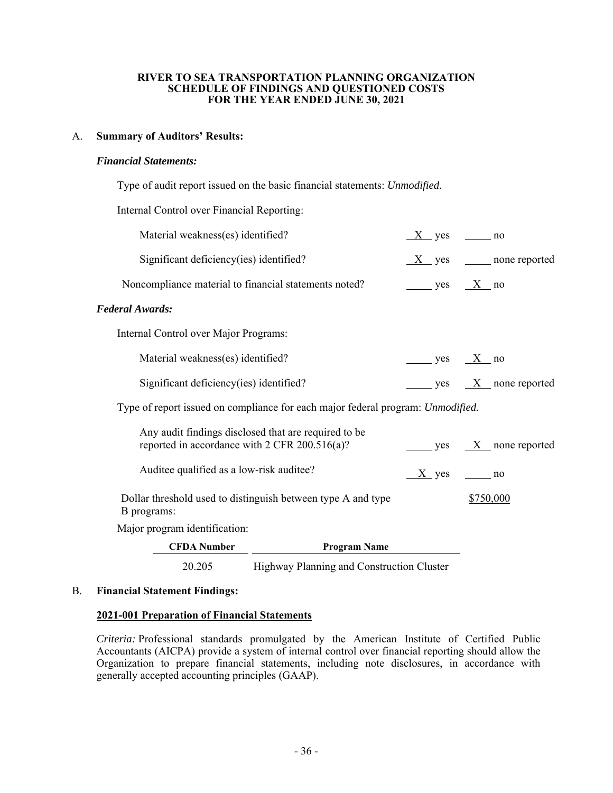#### **RIVER TO SEA TRANSPORTATION PLANNING ORGANIZATION SCHEDULE OF FINDINGS AND QUESTIONED COSTS FOR THE YEAR ENDED JUNE 30, 2021**

## A. **Summary of Auditors' Results:**

### *Financial Statements:*

Type of audit report issued on the basic financial statements: *Unmodified.* 

Internal Control over Financial Reporting:

| <b>CFDA</b> Number<br><b>Program Name</b>                                                                |                    |                                               |  |  |  |  |  |  |  |
|----------------------------------------------------------------------------------------------------------|--------------------|-----------------------------------------------|--|--|--|--|--|--|--|
| Major program identification:                                                                            |                    |                                               |  |  |  |  |  |  |  |
| Dollar threshold used to distinguish between type A and type<br>B programs:                              |                    | \$750,000                                     |  |  |  |  |  |  |  |
| Auditee qualified as a low-risk auditee?                                                                 |                    | $X$ yes no                                    |  |  |  |  |  |  |  |
| Any audit findings disclosed that are required to be<br>reported in accordance with 2 CFR $200.516(a)$ ? |                    | $\frac{1}{1}$ yes $\frac{X}{1}$ none reported |  |  |  |  |  |  |  |
| Type of report issued on compliance for each major federal program: Unmodified.                          |                    |                                               |  |  |  |  |  |  |  |
| Significant deficiency(ies) identified?                                                                  | yes                | $X$ none reported                             |  |  |  |  |  |  |  |
| Material weakness(es) identified?                                                                        | $\frac{\ }{2}$ yes | $X$ no                                        |  |  |  |  |  |  |  |
| Internal Control over Major Programs:                                                                    |                    |                                               |  |  |  |  |  |  |  |
| <b>Federal Awards:</b>                                                                                   |                    |                                               |  |  |  |  |  |  |  |
| Noncompliance material to financial statements noted?                                                    | yes                | $X$ no                                        |  |  |  |  |  |  |  |
| Significant deficiency (ies) identified?                                                                 |                    | $X$ yes _______ none reported                 |  |  |  |  |  |  |  |
| Material weakness(es) identified?                                                                        | $X$ yes no         |                                               |  |  |  |  |  |  |  |

20.205 Highway Planning and Construction Cluster

## B. **Financial Statement Findings:**

## **2021-001 Preparation of Financial Statements**

*Criteria:* Professional standards promulgated by the American Institute of Certified Public Accountants (AICPA) provide a system of internal control over financial reporting should allow the Organization to prepare financial statements, including note disclosures, in accordance with generally accepted accounting principles (GAAP).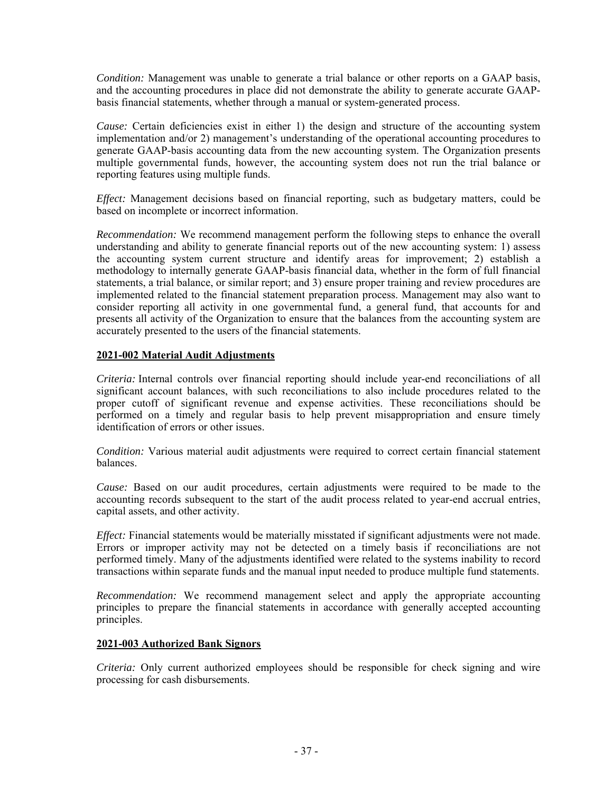*Condition:* Management was unable to generate a trial balance or other reports on a GAAP basis, and the accounting procedures in place did not demonstrate the ability to generate accurate GAAPbasis financial statements, whether through a manual or system-generated process.

*Cause:* Certain deficiencies exist in either 1) the design and structure of the accounting system implementation and/or 2) management's understanding of the operational accounting procedures to generate GAAP-basis accounting data from the new accounting system. The Organization presents multiple governmental funds, however, the accounting system does not run the trial balance or reporting features using multiple funds.

*Effect:* Management decisions based on financial reporting, such as budgetary matters, could be based on incomplete or incorrect information.

*Recommendation:* We recommend management perform the following steps to enhance the overall understanding and ability to generate financial reports out of the new accounting system: 1) assess the accounting system current structure and identify areas for improvement; 2) establish a methodology to internally generate GAAP-basis financial data, whether in the form of full financial statements, a trial balance, or similar report; and 3) ensure proper training and review procedures are implemented related to the financial statement preparation process. Management may also want to consider reporting all activity in one governmental fund, a general fund, that accounts for and presents all activity of the Organization to ensure that the balances from the accounting system are accurately presented to the users of the financial statements.

## **2021-002 Material Audit Adjustments**

*Criteria:* Internal controls over financial reporting should include year-end reconciliations of all significant account balances, with such reconciliations to also include procedures related to the proper cutoff of significant revenue and expense activities. These reconciliations should be performed on a timely and regular basis to help prevent misappropriation and ensure timely identification of errors or other issues.

*Condition:* Various material audit adjustments were required to correct certain financial statement balances.

*Cause:* Based on our audit procedures, certain adjustments were required to be made to the accounting records subsequent to the start of the audit process related to year-end accrual entries, capital assets, and other activity.

*Effect:* Financial statements would be materially misstated if significant adjustments were not made. Errors or improper activity may not be detected on a timely basis if reconciliations are not performed timely. Many of the adjustments identified were related to the systems inability to record transactions within separate funds and the manual input needed to produce multiple fund statements.

*Recommendation:* We recommend management select and apply the appropriate accounting principles to prepare the financial statements in accordance with generally accepted accounting principles.

## **2021-003 Authorized Bank Signors**

*Criteria:* Only current authorized employees should be responsible for check signing and wire processing for cash disbursements.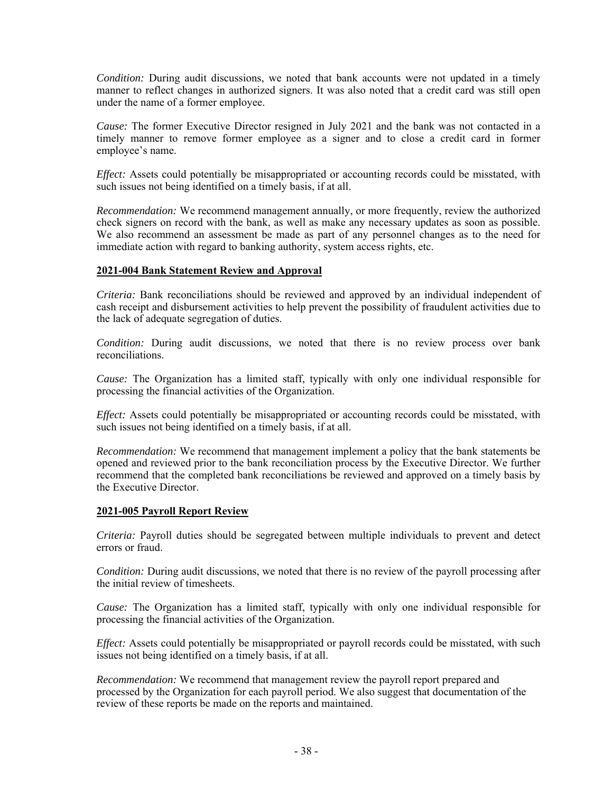*Condition:* During audit discussions, we noted that bank accounts were not updated in a timely manner to reflect changes in authorized signers. It was also noted that a credit card was still open under the name of a former employee.

*Cause:* The former Executive Director resigned in July 2021 and the bank was not contacted in a timely manner to remove former employee as a signer and to close a credit card in former employee's name.

*Effect:* Assets could potentially be misappropriated or accounting records could be misstated, with such issues not being identified on a timely basis, if at all.

*Recommendation:* We recommend management annually, or more frequently, review the authorized check signers on record with the bank, as well as make any necessary updates as soon as possible. We also recommend an assessment be made as part of any personnel changes as to the need for immediate action with regard to banking authority, system access rights, etc.

## **2021-004 Bank Statement Review and Approval**

*Criteria:* Bank reconciliations should be reviewed and approved by an individual independent of cash receipt and disbursement activities to help prevent the possibility of fraudulent activities due to the lack of adequate segregation of duties.

*Condition:* During audit discussions, we noted that there is no review process over bank reconciliations.

*Cause:* The Organization has a limited staff, typically with only one individual responsible for processing the financial activities of the Organization.

*Effect:* Assets could potentially be misappropriated or accounting records could be misstated, with such issues not being identified on a timely basis, if at all.

*Recommendation:* We recommend that management implement a policy that the bank statements be opened and reviewed prior to the bank reconciliation process by the Executive Director. We further recommend that the completed bank reconciliations be reviewed and approved on a timely basis by the Executive Director.

## **2021-005 Payroll Report Review**

*Criteria:* Payroll duties should be segregated between multiple individuals to prevent and detect errors or fraud.

*Condition:* During audit discussions, we noted that there is no review of the payroll processing after the initial review of timesheets.

*Cause:* The Organization has a limited staff, typically with only one individual responsible for processing the financial activities of the Organization.

*Effect:* Assets could potentially be misappropriated or payroll records could be misstated, with such issues not being identified on a timely basis, if at all.

*Recommendation:* We recommend that management review the payroll report prepared and processed by the Organization for each payroll period. We also suggest that documentation of the review of these reports be made on the reports and maintained.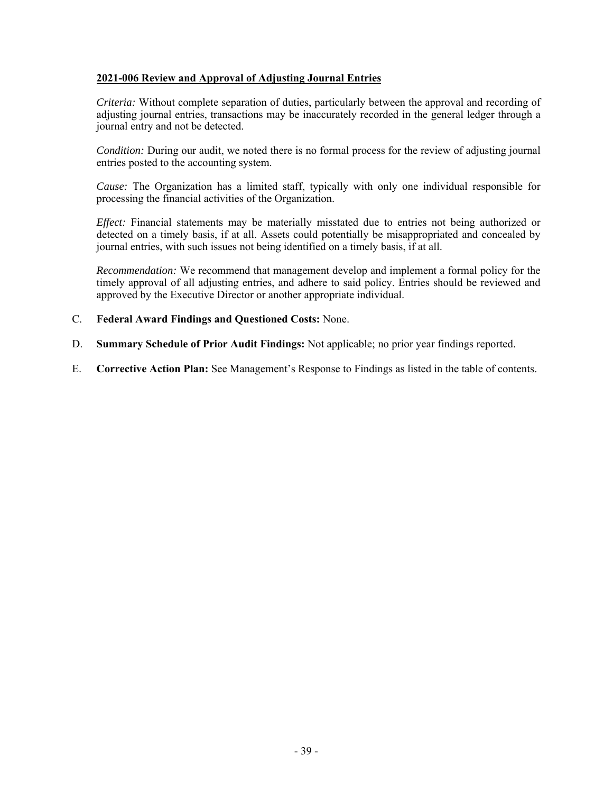## **2021-006 Review and Approval of Adjusting Journal Entries**

*Criteria:* Without complete separation of duties, particularly between the approval and recording of adjusting journal entries, transactions may be inaccurately recorded in the general ledger through a journal entry and not be detected.

*Condition:* During our audit, we noted there is no formal process for the review of adjusting journal entries posted to the accounting system.

*Cause:* The Organization has a limited staff, typically with only one individual responsible for processing the financial activities of the Organization.

*Effect:* Financial statements may be materially misstated due to entries not being authorized or detected on a timely basis, if at all. Assets could potentially be misappropriated and concealed by journal entries, with such issues not being identified on a timely basis, if at all.

*Recommendation:* We recommend that management develop and implement a formal policy for the timely approval of all adjusting entries, and adhere to said policy. Entries should be reviewed and approved by the Executive Director or another appropriate individual.

- C. **Federal Award Findings and Questioned Costs:** None.
- D. **Summary Schedule of Prior Audit Findings:** Not applicable; no prior year findings reported.
- E. **Corrective Action Plan:** See Management's Response to Findings as listed in the table of contents.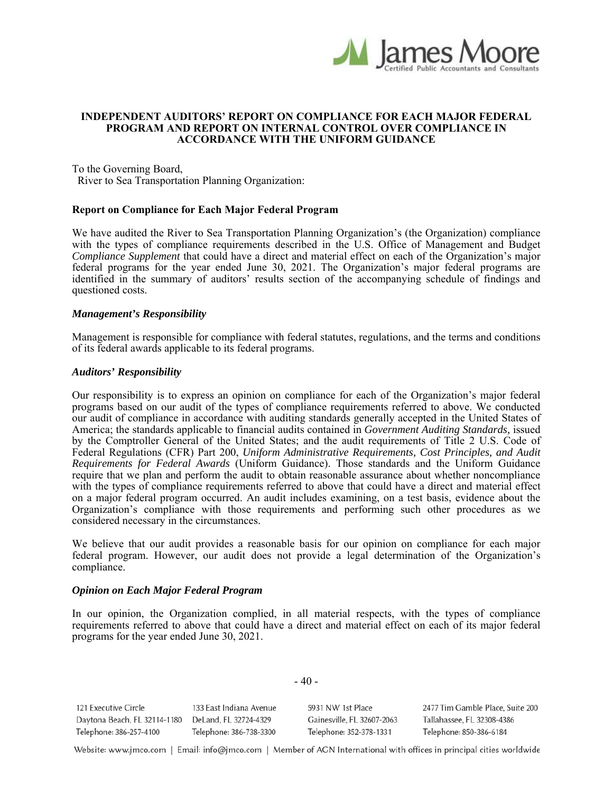

#### **INDEPENDENT AUDITORS' REPORT ON COMPLIANCE FOR EACH MAJOR FEDERAL PROGRAM AND REPORT ON INTERNAL CONTROL OVER COMPLIANCE IN ACCORDANCE WITH THE UNIFORM GUIDANCE**

To the Governing Board, River to Sea Transportation Planning Organization:

#### **Report on Compliance for Each Major Federal Program**

We have audited the River to Sea Transportation Planning Organization's (the Organization) compliance with the types of compliance requirements described in the U.S. Office of Management and Budget *Compliance Supplement* that could have a direct and material effect on each of the Organization's major federal programs for the year ended June 30, 2021. The Organization's major federal programs are identified in the summary of auditors' results section of the accompanying schedule of findings and questioned costs.

### *Management's Responsibility*

Management is responsible for compliance with federal statutes, regulations, and the terms and conditions of its federal awards applicable to its federal programs.

#### *Auditors' Responsibility*

Our responsibility is to express an opinion on compliance for each of the Organization's major federal programs based on our audit of the types of compliance requirements referred to above. We conducted our audit of compliance in accordance with auditing standards generally accepted in the United States of America; the standards applicable to financial audits contained in *Government Auditing Standards,* issued by the Comptroller General of the United States; and the audit requirements of Title 2 U.S. Code of Federal Regulations (CFR) Part 200, *Uniform Administrative Requirements, Cost Principles, and Audit Requirements for Federal Awards* (Uniform Guidance). Those standards and the Uniform Guidance require that we plan and perform the audit to obtain reasonable assurance about whether noncompliance with the types of compliance requirements referred to above that could have a direct and material effect on a major federal program occurred. An audit includes examining, on a test basis, evidence about the Organization's compliance with those requirements and performing such other procedures as we considered necessary in the circumstances.

We believe that our audit provides a reasonable basis for our opinion on compliance for each major federal program. However, our audit does not provide a legal determination of the Organization's compliance.

### *Opinion on Each Major Federal Program*

In our opinion, the Organization complied, in all material respects, with the types of compliance requirements referred to above that could have a direct and material effect on each of its major federal programs for the year ended June 30, 2021.

- 40 -

121 Executive Circle 133 East Indiana Avenue 5931 NW 1st Place Daytona Beach, FL 32114-1180 DeLand, FL 32724-4329 Gainesville, FL 32607-2063 Telephone: 386-257-4100 Telephone: 386-738-3300 Telephone: 352-378-1331

2477 Tim Gamble Place, Suite 200 Tallahassee, FL 32308-4386 Telephone: 850-386-6184

Website: www.jmco.com | Email: info@jmco.com | Member of AGN International with offices in principal cities worldwide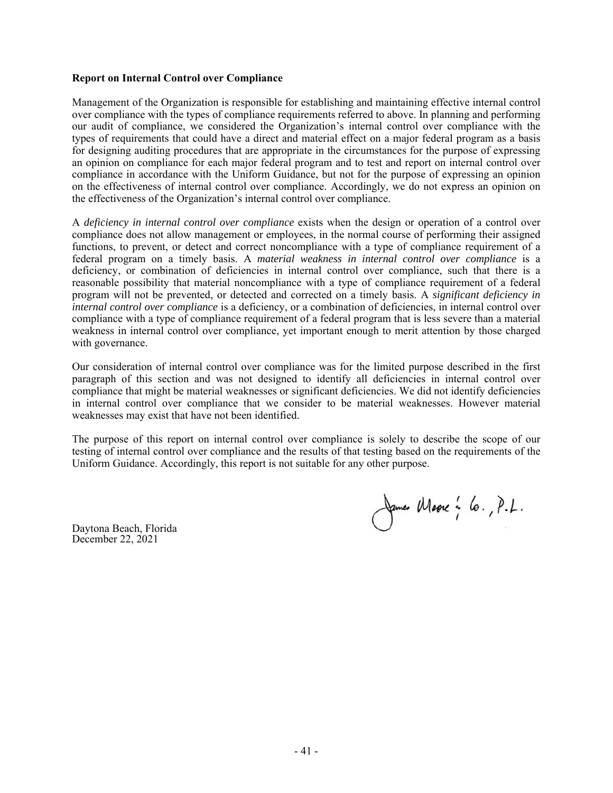#### **Report on Internal Control over Compliance**

Management of the Organization is responsible for establishing and maintaining effective internal control over compliance with the types of compliance requirements referred to above. In planning and performing our audit of compliance, we considered the Organization's internal control over compliance with the types of requirements that could have a direct and material effect on a major federal program as a basis for designing auditing procedures that are appropriate in the circumstances for the purpose of expressing an opinion on compliance for each major federal program and to test and report on internal control over compliance in accordance with the Uniform Guidance, but not for the purpose of expressing an opinion on the effectiveness of internal control over compliance. Accordingly, we do not express an opinion on the effectiveness of the Organization's internal control over compliance.

A *deficiency in internal control over compliance* exists when the design or operation of a control over compliance does not allow management or employees, in the normal course of performing their assigned functions, to prevent, or detect and correct noncompliance with a type of compliance requirement of a federal program on a timely basis. A *material weakness in internal control over compliance* is a deficiency, or combination of deficiencies in internal control over compliance, such that there is a reasonable possibility that material noncompliance with a type of compliance requirement of a federal program will not be prevented, or detected and corrected on a timely basis. A *significant deficiency in internal control over compliance* is a deficiency, or a combination of deficiencies, in internal control over compliance with a type of compliance requirement of a federal program that is less severe than a material weakness in internal control over compliance, yet important enough to merit attention by those charged with governance.

Our consideration of internal control over compliance was for the limited purpose described in the first paragraph of this section and was not designed to identify all deficiencies in internal control over compliance that might be material weaknesses or significant deficiencies. We did not identify deficiencies in internal control over compliance that we consider to be material weaknesses. However material weaknesses may exist that have not been identified.

The purpose of this report on internal control over compliance is solely to describe the scope of our testing of internal control over compliance and the results of that testing based on the requirements of the Uniform Guidance. Accordingly, this report is not suitable for any other purpose.

James Masse : 6., P.L.

Daytona Beach, Florida December 22, 2021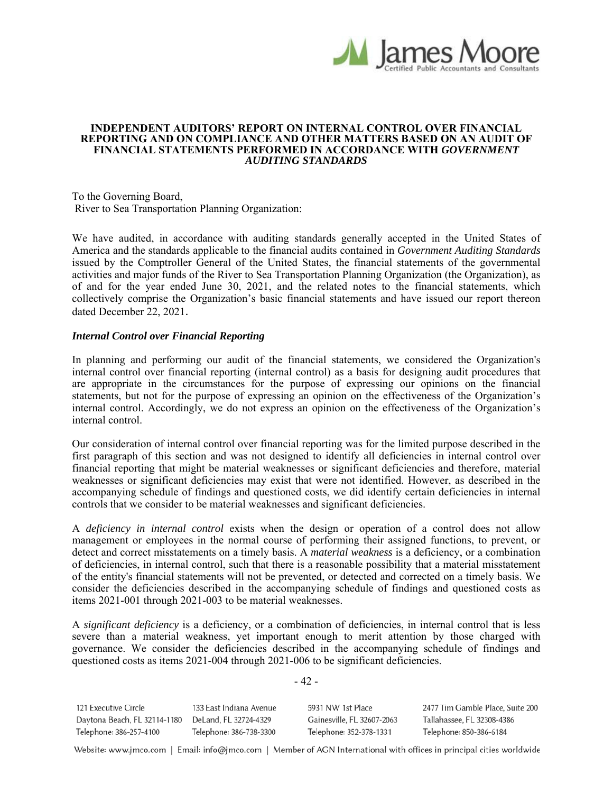

#### **INDEPENDENT AUDITORS' REPORT ON INTERNAL CONTROL OVER FINANCIAL REPORTING AND ON COMPLIANCE AND OTHER MATTERS BASED ON AN AUDIT OF FINANCIAL STATEMENTS PERFORMED IN ACCORDANCE WITH** *GOVERNMENT AUDITING STANDARDS*

To the Governing Board, River to Sea Transportation Planning Organization:

We have audited, in accordance with auditing standards generally accepted in the United States of America and the standards applicable to the financial audits contained in *Government Auditing Standards* issued by the Comptroller General of the United States, the financial statements of the governmental activities and major funds of the River to Sea Transportation Planning Organization (the Organization), as of and for the year ended June 30, 2021, and the related notes to the financial statements, which collectively comprise the Organization's basic financial statements and have issued our report thereon dated December 22, 2021.

#### *Internal Control over Financial Reporting*

In planning and performing our audit of the financial statements, we considered the Organization's internal control over financial reporting (internal control) as a basis for designing audit procedures that are appropriate in the circumstances for the purpose of expressing our opinions on the financial statements, but not for the purpose of expressing an opinion on the effectiveness of the Organization's internal control. Accordingly, we do not express an opinion on the effectiveness of the Organization's internal control.

Our consideration of internal control over financial reporting was for the limited purpose described in the first paragraph of this section and was not designed to identify all deficiencies in internal control over financial reporting that might be material weaknesses or significant deficiencies and therefore, material weaknesses or significant deficiencies may exist that were not identified. However, as described in the accompanying schedule of findings and questioned costs, we did identify certain deficiencies in internal controls that we consider to be material weaknesses and significant deficiencies.

A *deficiency in internal control* exists when the design or operation of a control does not allow management or employees in the normal course of performing their assigned functions, to prevent, or detect and correct misstatements on a timely basis. A *material weakness* is a deficiency, or a combination of deficiencies, in internal control, such that there is a reasonable possibility that a material misstatement of the entity's financial statements will not be prevented, or detected and corrected on a timely basis. We consider the deficiencies described in the accompanying schedule of findings and questioned costs as items 2021-001 through 2021-003 to be material weaknesses.

A *significant deficiency* is a deficiency, or a combination of deficiencies, in internal control that is less severe than a material weakness, yet important enough to merit attention by those charged with governance. We consider the deficiencies described in the accompanying schedule of findings and questioned costs as items 2021-004 through 2021-006 to be significant deficiencies.

- 42 -

| 121 Executive Circle         | 133 East Indiana Avenue | 5931 NW 1st Place          | 2477 Tim Gamble Place, Suite 200 |
|------------------------------|-------------------------|----------------------------|----------------------------------|
| Daytona Beach, FL 32114-1180 | DeLand, FL 32724-4329   | Gainesville, FL 32607-2063 | Tallahassee, FL 32308-4386       |
| Telephone: 386-257-4100      | Telephone: 386-738-3300 | Telephone: 352-378-1331    | Telephone: 850-386-6184          |

Website: www.jmco.com | Email: info@jmco.com | Member of AGN International with offices in principal cities worldwide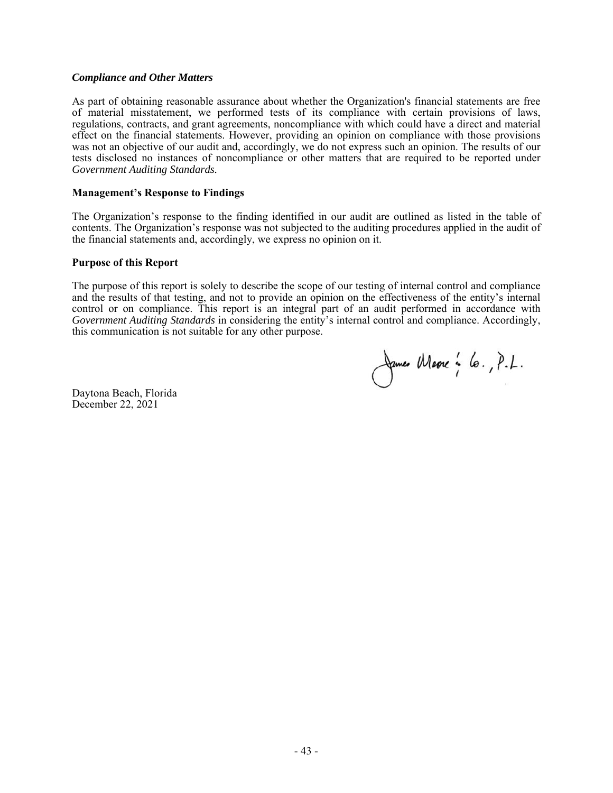### *Compliance and Other Matters*

As part of obtaining reasonable assurance about whether the Organization's financial statements are free of material misstatement, we performed tests of its compliance with certain provisions of laws, regulations, contracts, and grant agreements, noncompliance with which could have a direct and material effect on the financial statements. However, providing an opinion on compliance with those provisions was not an objective of our audit and, accordingly, we do not express such an opinion. The results of our tests disclosed no instances of noncompliance or other matters that are required to be reported under *Government Auditing Standards.*

### **Management's Response to Findings**

The Organization's response to the finding identified in our audit are outlined as listed in the table of contents. The Organization's response was not subjected to the auditing procedures applied in the audit of the financial statements and, accordingly, we express no opinion on it.

### **Purpose of this Report**

The purpose of this report is solely to describe the scope of our testing of internal control and compliance and the results of that testing, and not to provide an opinion on the effectiveness of the entity's internal control or on compliance. This report is an integral part of an audit performed in accordance with *Government Auditing Standards* in considering the entity's internal control and compliance. Accordingly, this communication is not suitable for any other purpose.

James Masse : lo., P.L.

Daytona Beach, Florida December 22, 2021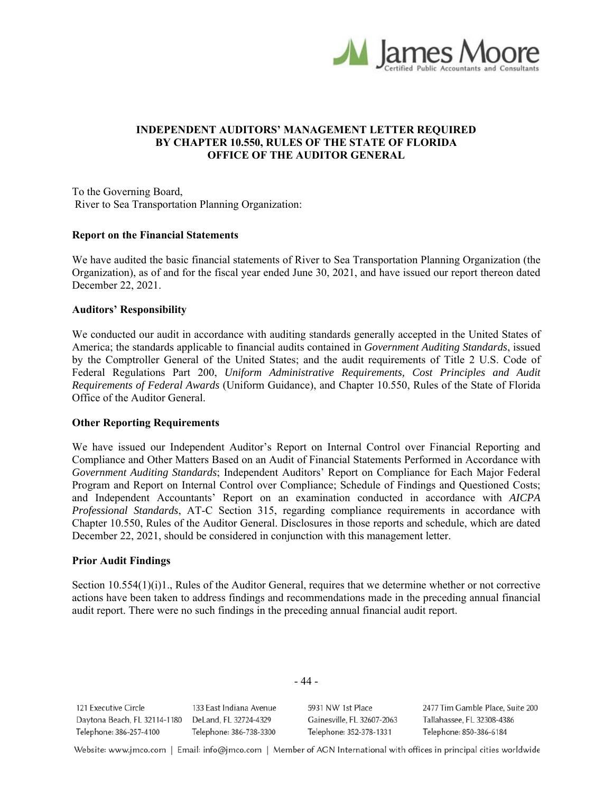

## **INDEPENDENT AUDITORS' MANAGEMENT LETTER REQUIRED BY CHAPTER 10.550, RULES OF THE STATE OF FLORIDA OFFICE OF THE AUDITOR GENERAL**

To the Governing Board, River to Sea Transportation Planning Organization:

#### **Report on the Financial Statements**

We have audited the basic financial statements of River to Sea Transportation Planning Organization (the Organization), as of and for the fiscal year ended June 30, 2021, and have issued our report thereon dated December 22, 2021.

#### **Auditors' Responsibility**

We conducted our audit in accordance with auditing standards generally accepted in the United States of America; the standards applicable to financial audits contained in *Government Auditing Standards*, issued by the Comptroller General of the United States; and the audit requirements of Title 2 U.S. Code of Federal Regulations Part 200, *Uniform Administrative Requirements, Cost Principles and Audit Requirements of Federal Awards* (Uniform Guidance), and Chapter 10.550, Rules of the State of Florida Office of the Auditor General.

#### **Other Reporting Requirements**

We have issued our Independent Auditor's Report on Internal Control over Financial Reporting and Compliance and Other Matters Based on an Audit of Financial Statements Performed in Accordance with *Government Auditing Standards*; Independent Auditors' Report on Compliance for Each Major Federal Program and Report on Internal Control over Compliance; Schedule of Findings and Questioned Costs; and Independent Accountants' Report on an examination conducted in accordance with *AICPA Professional Standards*, AT-C Section 315, regarding compliance requirements in accordance with Chapter 10.550, Rules of the Auditor General. Disclosures in those reports and schedule, which are dated December 22, 2021, should be considered in conjunction with this management letter.

#### **Prior Audit Findings**

Section 10.554(1)(i)1., Rules of the Auditor General, requires that we determine whether or not corrective actions have been taken to address findings and recommendations made in the preceding annual financial audit report. There were no such findings in the preceding annual financial audit report.

### - 44 -

121 Executive Circle 133 East Indiana Avenue Daytona Beach, FL 32114-1180 DeLand, FL 32724-4329 Telephone: 386-257-4100 Telephone: 386-738-3300 5931 NW 1st Place Gainesville, FL 32607-2063 Telephone: 352-378-1331

2477 Tim Gamble Place, Suite 200 Tallahassee, FL 32308-4386 Telephone: 850-386-6184

Website: www.jmco.com | Email: info@jmco.com | Member of AGN International with offices in principal cities worldwide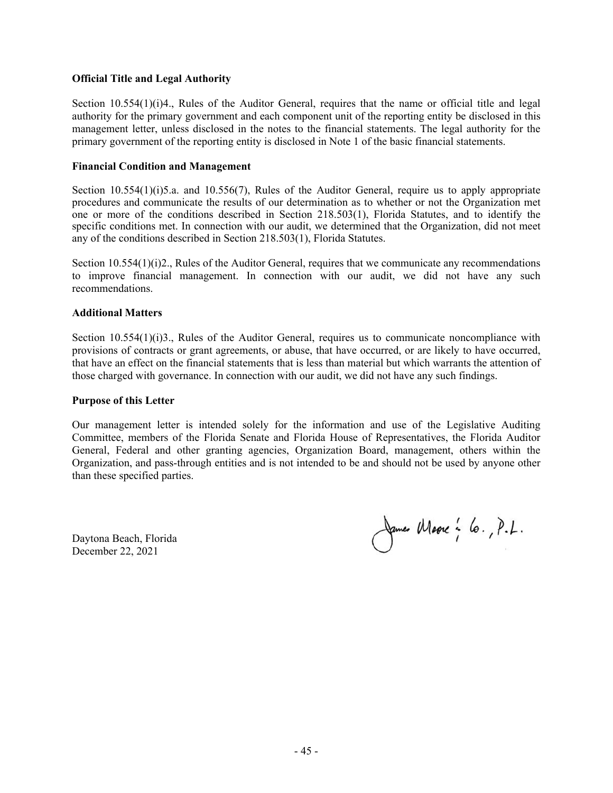### **Official Title and Legal Authority**

Section 10.554(1)(i)4., Rules of the Auditor General, requires that the name or official title and legal authority for the primary government and each component unit of the reporting entity be disclosed in this management letter, unless disclosed in the notes to the financial statements. The legal authority for the primary government of the reporting entity is disclosed in Note 1 of the basic financial statements.

### **Financial Condition and Management**

Section 10.554(1)(i)5.a. and 10.556(7), Rules of the Auditor General, require us to apply appropriate procedures and communicate the results of our determination as to whether or not the Organization met one or more of the conditions described in Section 218.503(1), Florida Statutes, and to identify the specific conditions met. In connection with our audit, we determined that the Organization, did not meet any of the conditions described in Section 218.503(1), Florida Statutes.

Section 10.554(1)(i)2., Rules of the Auditor General, requires that we communicate any recommendations to improve financial management. In connection with our audit, we did not have any such recommendations.

## **Additional Matters**

Section 10.554(1)(i)3., Rules of the Auditor General, requires us to communicate noncompliance with provisions of contracts or grant agreements, or abuse, that have occurred, or are likely to have occurred, that have an effect on the financial statements that is less than material but which warrants the attention of those charged with governance. In connection with our audit, we did not have any such findings.

#### **Purpose of this Letter**

Our management letter is intended solely for the information and use of the Legislative Auditing Committee, members of the Florida Senate and Florida House of Representatives, the Florida Auditor General, Federal and other granting agencies, Organization Board, management, others within the Organization, and pass-through entities and is not intended to be and should not be used by anyone other than these specified parties.

Daytona Beach, Florida December 22, 2021

James Masse : 6., P.L.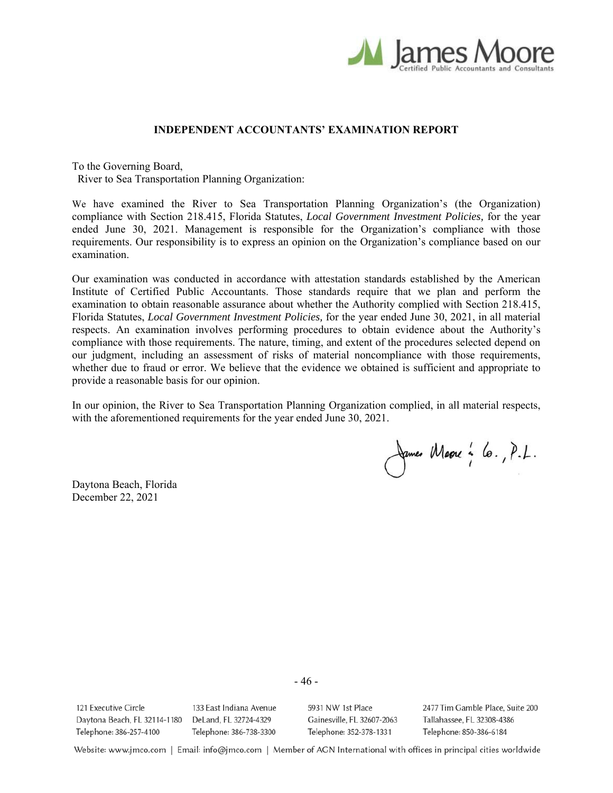

### **INDEPENDENT ACCOUNTANTS' EXAMINATION REPORT**

To the Governing Board, River to Sea Transportation Planning Organization:

We have examined the River to Sea Transportation Planning Organization's (the Organization) compliance with Section 218.415, Florida Statutes, *Local Government Investment Policies,* for the year ended June 30, 2021. Management is responsible for the Organization's compliance with those requirements. Our responsibility is to express an opinion on the Organization's compliance based on our examination.

Our examination was conducted in accordance with attestation standards established by the American Institute of Certified Public Accountants. Those standards require that we plan and perform the examination to obtain reasonable assurance about whether the Authority complied with Section 218.415, Florida Statutes, *Local Government Investment Policies,* for the year ended June 30, 2021, in all material respects. An examination involves performing procedures to obtain evidence about the Authority's compliance with those requirements. The nature, timing, and extent of the procedures selected depend on our judgment, including an assessment of risks of material noncompliance with those requirements, whether due to fraud or error. We believe that the evidence we obtained is sufficient and appropriate to provide a reasonable basis for our opinion.

In our opinion, the River to Sea Transportation Planning Organization complied, in all material respects, with the aforementioned requirements for the year ended June 30, 2021.

James Marre : 6., P.L.

Daytona Beach, Florida December 22, 2021

121 Executive Circle Daytona Beach, FL 32114-1180 Telephone: 386-257-4100

133 East Indiana Avenue DeLand, FL 32724-4329 Telephone: 386-738-3300

5931 NW 1st Place Gainesville, FL 32607-2063 Telephone: 352-378-1331

2477 Tim Gamble Place, Suite 200 Tallahassee, FL 32308-4386 Telephone: 850-386-6184

Website: www.jmco.com | Email: info@jmco.com | Member of AGN International with offices in principal cities worldwide